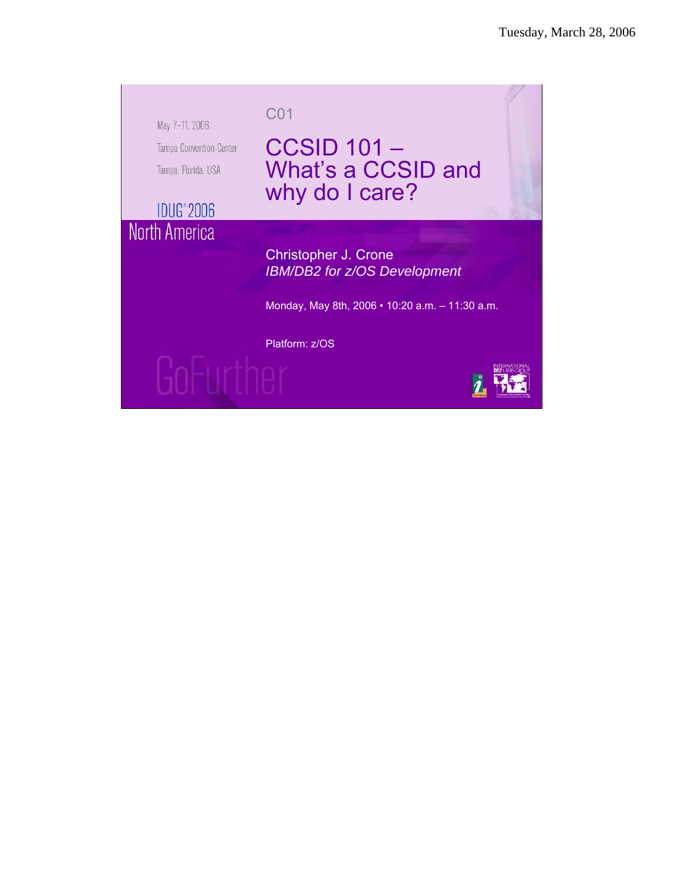May 7-11, 2006 Tampa Convention Center Tampa, Florida, USA

CCSID 101 – What's a CCSID and why do I care?

**IDUG**<sup>\*</sup>2006 North America

> Christopher J. Crone *IBM/DB2 for z/OS Development*

Monday, May 8th, 2006 • 10:20 a.m. – 11:30 a.m.

Platform: z/OS

C01



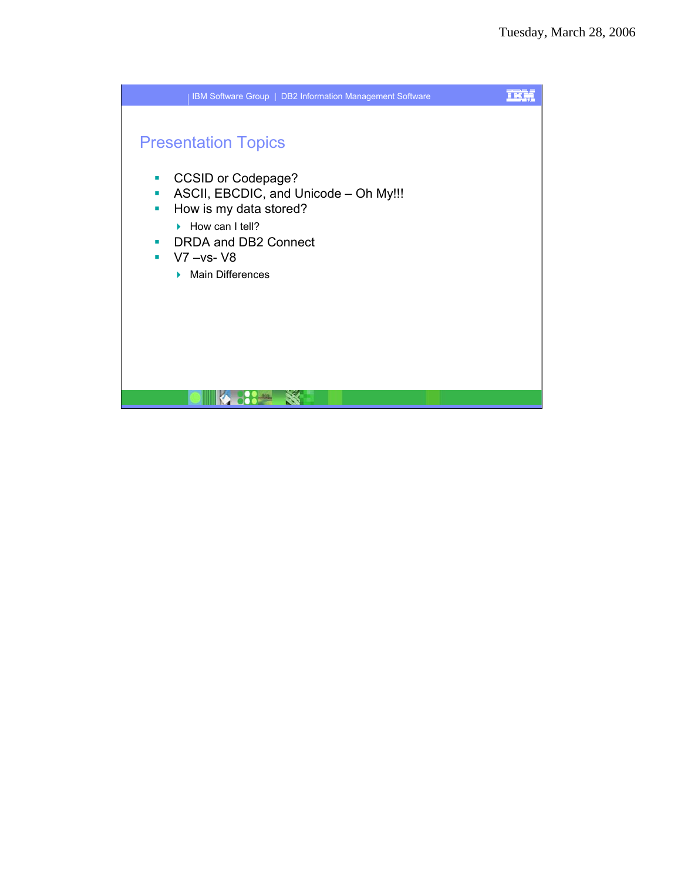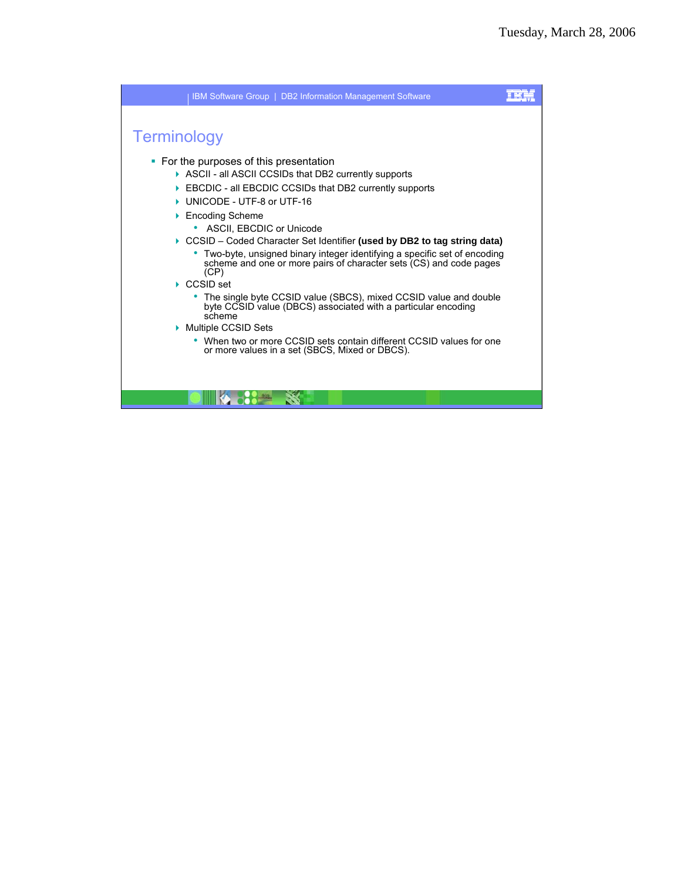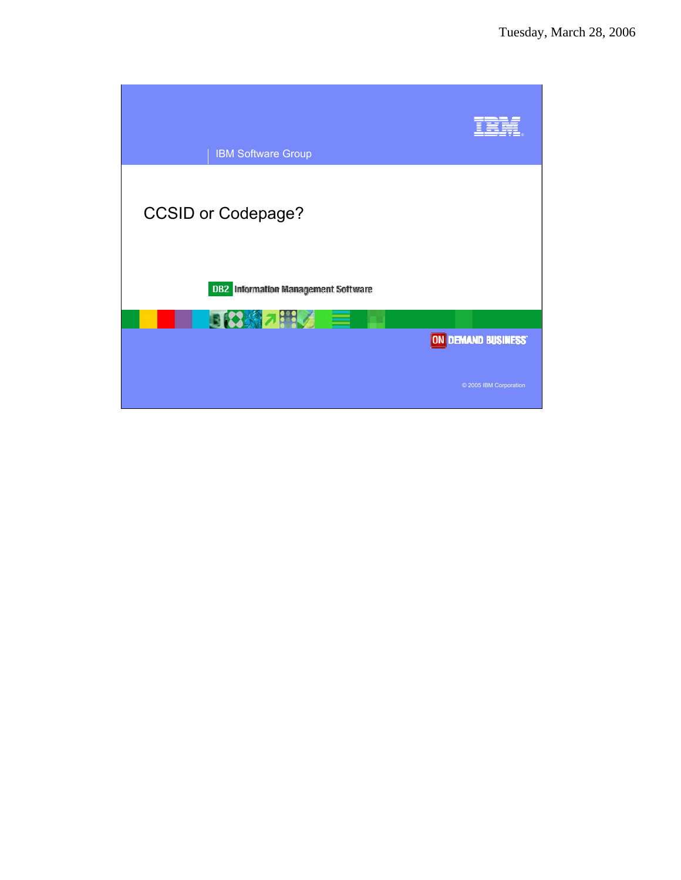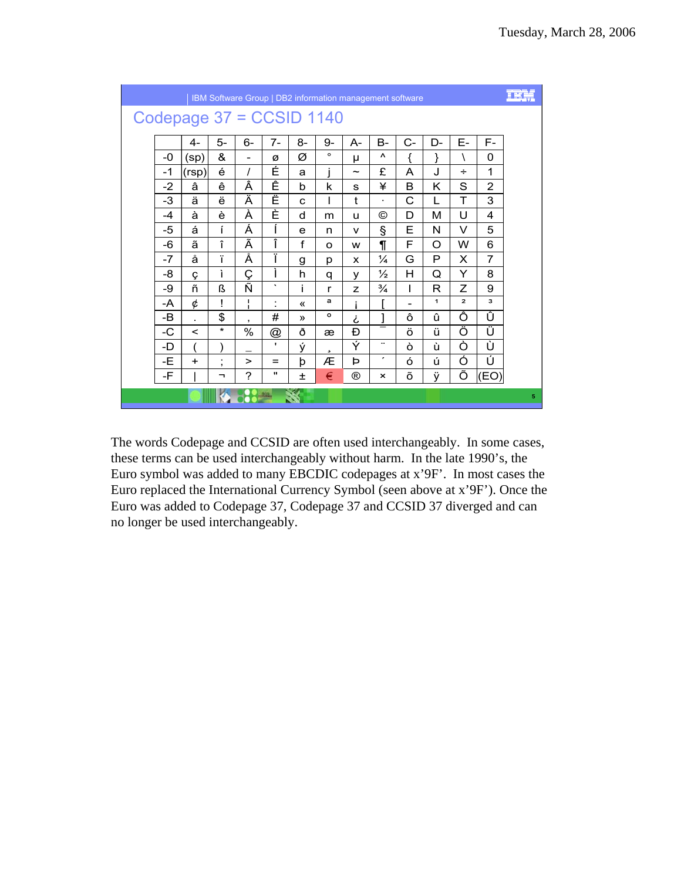|      |                          |          |                          |              |                   | IBM Software Group   DB2 information management software |                |                |                          |          |                |                         | EBS |
|------|--------------------------|----------|--------------------------|--------------|-------------------|----------------------------------------------------------|----------------|----------------|--------------------------|----------|----------------|-------------------------|-----|
|      | Codepage 37 = CCSID 1140 |          |                          |              |                   |                                                          |                |                |                          |          |                |                         |     |
|      | $4-$                     | 5-       | 6-                       | $7-$         | 8-                | 9-                                                       | А-             | B-             | $C-$                     | $D-$     | Е-             | F-                      |     |
| -0   | (sp)                     | &        | $\overline{\phantom{0}}$ | Ø            | Ø                 | $\circ$                                                  | μ              | ۸              | ſ                        | }        | ∖              | 0                       |     |
| $-1$ | (rsp)                    | é        | I                        | É            | a                 | i                                                        | $\sim$         | £              | A                        | J        | ÷              | 1                       |     |
| $-2$ | â                        | ê        | Â                        | Ê            | b                 | k                                                        | S              | ¥              | B                        | Κ        | S              | $\overline{2}$          |     |
| $-3$ | ä                        | ë        | Ä                        | Ë            | $\mathbf C$       | L                                                        | t              | $\blacksquare$ | C                        | L        | T              | 3                       |     |
| $-4$ | à                        | è        | À                        | È            | d                 | m                                                        | u              | ©              | D                        | М        | U              | 4                       |     |
| -5   | á                        | í        | Á                        | ĺ            | e                 | n                                                        | $\mathsf{v}$   | $\S$           | Е                        | N        | V              | 5                       |     |
| -6   | ã                        | î        | Ã                        | Î            | f                 | $\Omega$                                                 | w              | $\P$           | F                        | $\Omega$ | W              | 6                       |     |
| $-7$ | å                        | ï        | Å                        | ï            | g                 | p                                                        | X              | ¼              | G                        | P        | X              | 7                       |     |
| -8   | Ç                        | ì        | Ç                        | Ì            | h                 | q                                                        | v              | $\frac{1}{2}$  | н                        | Q        | Y              | 8                       |     |
| -9   | ñ                        | ß        | Ñ                        | $\cdot$      | i                 | r                                                        | z              | $\frac{3}{4}$  | L                        | R        | Z              | 9                       |     |
| -A   | ¢                        | Ţ        | т<br>$\mathbf{I}$        | t            | $\langle \langle$ | а                                                        | i              |                | $\overline{\phantom{0}}$ | 1        | $\overline{a}$ | $\overline{\mathbf{3}}$ |     |
| -B   | $\blacksquare$           | \$       | $\,$                     | #            | $\mathcal{Y}$     | o                                                        | i              | l              | ô                        | û        | Ô              | Û                       |     |
| -C   | $\,<\,$                  | $\star$  | $\%$                     | @            | ð                 | æ                                                        | Đ              |                | ö                        | ü        | Ö              | Ü                       |     |
| -D   |                          |          |                          | $\mathbf{I}$ | ý                 | s                                                        | Ý              |                | ò                        | ù        | Ò              | Ù                       |     |
| -E   | $+$                      | ٠<br>,   | $\geq$                   | $=$          | þ                 | Æ                                                        | ь              | ,              | ó                        | ú        | Ó              | Ú                       |     |
| -F   |                          | <b>-</b> | $\overline{\phantom{0}}$ | $\mathbf{H}$ | 士                 | €                                                        | $^{\circledR}$ | ×              | õ                        | ÿ        | Õ              | (EO)                    |     |
|      |                          |          |                          |              |                   |                                                          |                |                |                          |          |                |                         | 5   |

The words Codepage and CCSID are often used interchangeably. In some cases, these terms can be used interchangeably without harm. In the late 1990's, the Euro symbol was added to many EBCDIC codepages at x'9F'. In most cases the Euro replaced the International Currency Symbol (seen above at x'9F'). Once the Euro was added to Codepage 37, Codepage 37 and CCSID 37 diverged and can no longer be used interchangeably.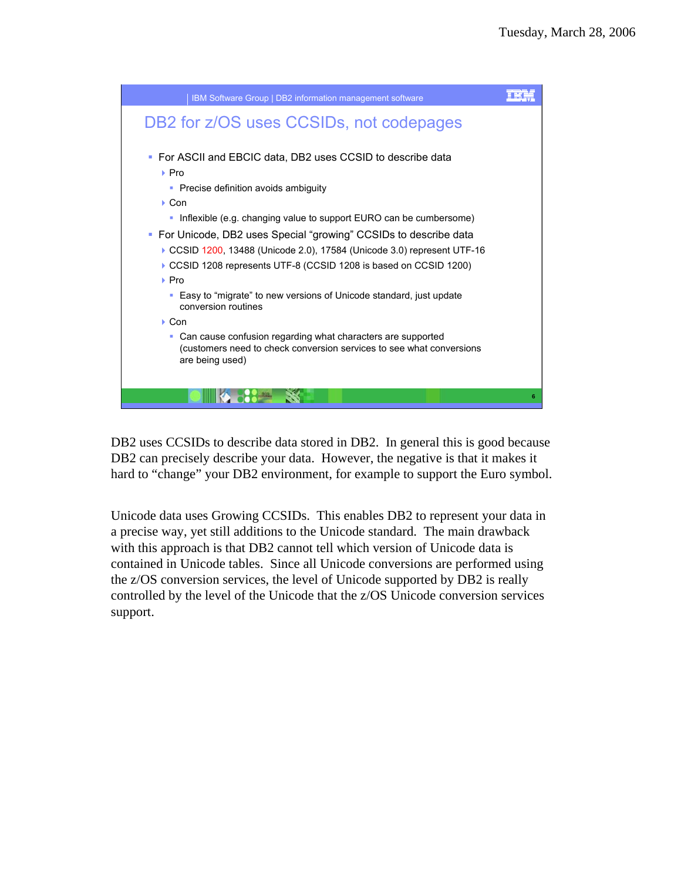

DB2 uses CCSIDs to describe data stored in DB2. In general this is good because DB2 can precisely describe your data. However, the negative is that it makes it hard to "change" your DB2 environment, for example to support the Euro symbol.

Unicode data uses Growing CCSIDs. This enables DB2 to represent your data in a precise way, yet still additions to the Unicode standard. The main drawback with this approach is that DB2 cannot tell which version of Unicode data is contained in Unicode tables. Since all Unicode conversions are performed using the z/OS conversion services, the level of Unicode supported by DB2 is really controlled by the level of the Unicode that the z/OS Unicode conversion services support.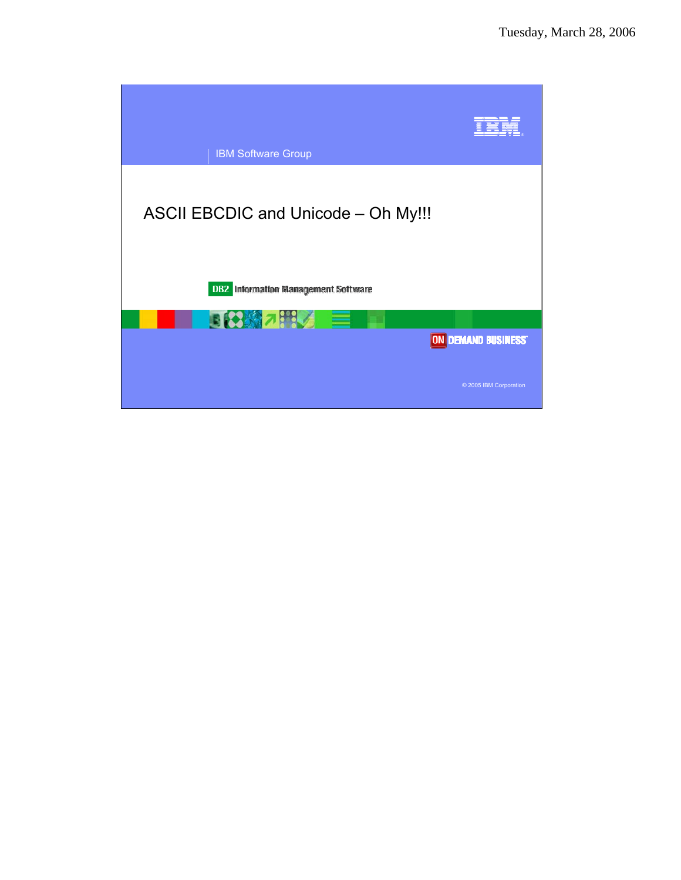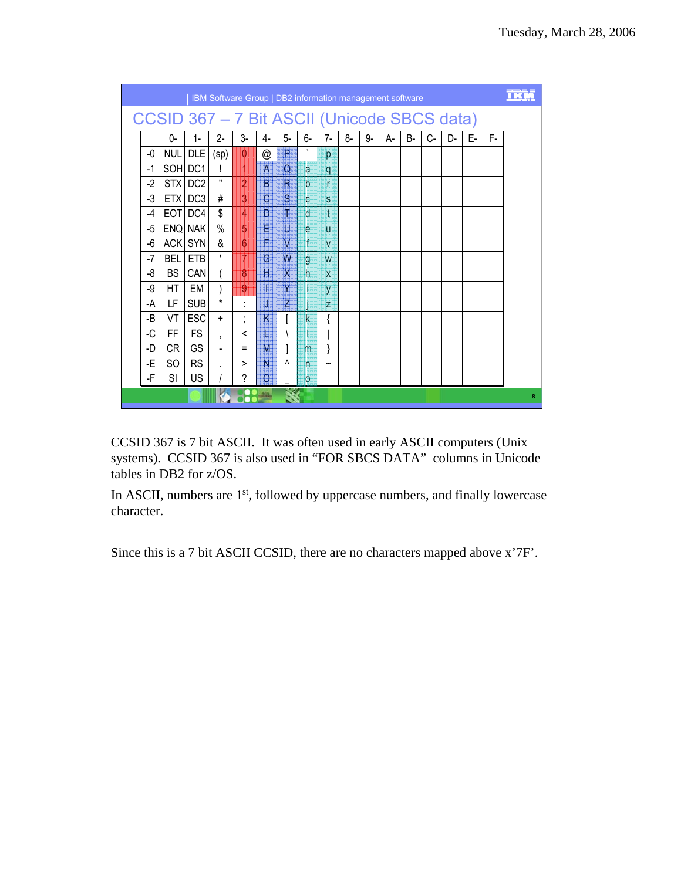|      |                                             |            | IBM Software Group   DB2 information management software |                                     |                          |                 |                 |                |    |      |    |           |       |    |    |    |   |
|------|---------------------------------------------|------------|----------------------------------------------------------|-------------------------------------|--------------------------|-----------------|-----------------|----------------|----|------|----|-----------|-------|----|----|----|---|
|      | CCSID 367 - 7 Bit ASCII (Unicode SBCS data) |            |                                                          |                                     |                          |                 |                 |                |    |      |    |           |       |    |    |    |   |
|      | 0-                                          | $1-$       | $2 -$                                                    | $3-$                                | 4-                       | $5-$            | 6-              | $7-$           | 8- | $9-$ | А- | <b>B-</b> | $C -$ | D- | E- | F- |   |
| -0   | NUL                                         | DLE        | (sp)                                                     | $\ket{0}$                           | @                        | P               |                 | p              |    |      |    |           |       |    |    |    |   |
| -1   |                                             | SOH DC1    | ı                                                        | H                                   | A                        | $\Omega$        | a.              | q              |    |      |    |           |       |    |    |    |   |
| $-2$ |                                             | STX DC2    | $\mathbf{H}$                                             | $\overline{2}$                      | $\vert \mathbf{B} \vert$ | $R_{-}$         | $\mathbf b$     | $\mathsf{r}$   |    |      |    |           |       |    |    |    |   |
| -3   |                                             | ETX DC3    | #                                                        | 鹝                                   | $\overline{C}$           | $S_{-}$         | $\mathbf{C}$    | S              |    |      |    |           |       |    |    |    |   |
| $-4$ |                                             | EOT DC4    | \$                                                       | $\mathbf{z}$                        | $\mathbf{D}$             | ar I            | <sub>d</sub>    | $\mathbf t$    |    |      |    |           |       |    |    |    |   |
| -5   |                                             | ENQ NAK    | $\%$                                                     | $\overline{5}$                      | E                        | U               | $\mathbf{e}$    | $\mathbf{u}$   |    |      |    |           |       |    |    |    |   |
| -6   |                                             | ACK SYN    | &                                                        | $6\overline{6}$                     | F                        | $V_{\parallel}$ | f               | V              |    |      |    |           |       |    |    |    |   |
| $-7$ | <b>BEL</b>                                  | ETB        | ٠                                                        | 7                                   | G                        | W               | $g_{\parallel}$ | W              |    |      |    |           |       |    |    |    |   |
| -8   | BS                                          | CAN        |                                                          | 8                                   | $\mathsf{H}$             | $X^{\perp}$     | h               | $\mathbf{x}$   |    |      |    |           |       |    |    |    |   |
| -9   | HT.                                         | EM         |                                                          | 9                                   |                          | Y               |                 | y              |    |      |    |           |       |    |    |    |   |
| -A   | LF.                                         | <b>SUB</b> | $\star$                                                  | ٠                                   |                          | $Z_{-}$         |                 | $\overline{z}$ |    |      |    |           |       |    |    |    |   |
| -B   | VT                                          | ESC        | $+$                                                      | $\cdot$<br>$\overline{\phantom{a}}$ | K                        |                 | k               | {              |    |      |    |           |       |    |    |    |   |
| -C   | FF.                                         | <b>FS</b>  | $\cdot$                                                  | ≺                                   |                          |                 |                 |                |    |      |    |           |       |    |    |    |   |
| -D   | CR.                                         | <b>GS</b>  | $\overline{\phantom{a}}$                                 | Ξ                                   | M                        |                 | m               |                |    |      |    |           |       |    |    |    |   |
| -E   | SO.                                         | <b>RS</b>  |                                                          | >                                   | N                        | ۸               | n               | $\tilde{}$     |    |      |    |           |       |    |    |    |   |
| -F   | SI                                          | <b>US</b>  |                                                          | ?                                   | $\overline{O}$           |                 | $\overline{O}$  |                |    |      |    |           |       |    |    |    |   |
|      |                                             |            |                                                          |                                     |                          |                 |                 |                |    |      |    |           |       |    |    |    | 8 |

CCSID 367 is 7 bit ASCII. It was often used in early ASCII computers (Unix systems). CCSID 367 is also used in "FOR SBCS DATA" columns in Unicode tables in DB2 for z/OS.

In ASCII, numbers are 1<sup>st</sup>, followed by uppercase numbers, and finally lowercase character.

Since this is a 7 bit ASCII CCSID, there are no characters mapped above x'7F'.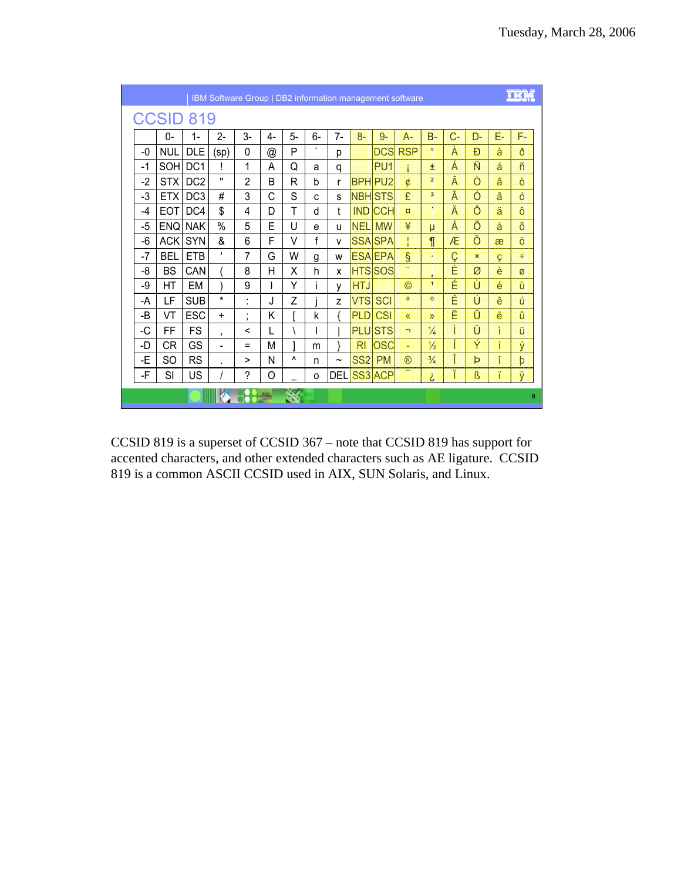|      |                  |                 | IBM Software Group   DB2 information management software |                     |    |    |         |              |                 |                 |                |                         |       |    |    |    |
|------|------------------|-----------------|----------------------------------------------------------|---------------------|----|----|---------|--------------|-----------------|-----------------|----------------|-------------------------|-------|----|----|----|
|      | <b>CCSID 819</b> |                 |                                                          |                     |    |    |         |              |                 |                 |                |                         |       |    |    |    |
|      | 0-               | 1-              | 2-                                                       | $3-$                | 4- | 5- | $6-$    | $7-$         | $8-$            | $9-$            | A-             | $B -$                   | $C -$ | D- | Е- | F- |
| -0   | <b>NUL</b>       | <b>DLE</b>      | (sp)                                                     | 0                   | @  | P  | $\cdot$ | р            |                 |                 | <b>DCS RSP</b> | $\circ$                 | À     | Đ  | à  | ð  |
| $-1$ | SOH DC1          |                 |                                                          | 1                   | A  | Q  | a       | q            |                 | PU <sub>1</sub> |                | Ŧ                       | Á     | Ñ  | á  | ñ  |
| -2   | STX <sup>I</sup> | DC <sub>2</sub> | $\pmb{\mathsf{H}}$                                       | 2                   | B  | R  | b       | r            |                 | <b>BPH PU2</b>  | ¢              | $\overline{\mathbf{2}}$ | Â     | Ò  | â  | ò  |
| -3   | ETX <sup>I</sup> | DC <sub>3</sub> | #                                                        | 3                   | C  | S  | C       | S            |                 | <b>NBH STS</b>  | £              | 3                       | Ã     | Ó  | ã  | ó  |
| -4   | <b>EOT</b>       | $\overline{LO}$ | \$                                                       | 4                   | D  | т  | d       | $\mathbf{f}$ | <b>IND</b>      | <b>CCH</b>      | $\overline{a}$ | ×.                      | Ä     | Ô  | ä  | ô  |
| -5   | <b>ENQ NAK</b>   |                 | %                                                        | 5                   | F  | U  | e       | u            | <b>NEL</b>      | <b>MW</b>       | ¥              | μ                       | Å     | Õ  | å  | õ  |
| -6   | ACK              | <b>SYN</b>      | &                                                        | 6                   | F  | V  | f       | v            |                 | <b>SSA SPA</b>  | т              | $\P$                    | Æ     | Ö  | æ  | ö  |
| -7   | <b>BEL</b>       | <b>FTB</b>      | ٠                                                        | 7                   | G  | W  | g       | W            |                 | <b>ESA EPA</b>  | $\S$           | ×                       | Ç     | ×  | ç  | ÷  |
| -8   | <b>BS</b>        | CAN             |                                                          | 8                   | н  | X  | h       | x            |                 | <b>HTS</b> SOS  | ×              | ъ.                      | È     | Ø  | è  | Ø  |
| -9   | НT               | <b>FM</b>       |                                                          | 9                   |    | Υ  |         | y            | <b>HTJ</b>      |                 | $\circledcirc$ | к                       | É     | Ù  | é  | ù  |
| -A   | LF               | <b>SUB</b>      | $\star$                                                  | $\cdot$             | J. | Z  |         | Z            | <b>VTS</b>      | <b>SCI</b>      | a              | $\circ$                 | Ê     | Ú  | ê  | ū  |
| -B   | VT               | <b>ESC</b>      | $\ddot{}$                                                | $\blacksquare$<br>, | Κ  |    | k       |              | <b>PLD</b>      | <b>CSI</b>      | $\mathcal{R}$  | $\mathcal{D}$           | Ë     | Û  | ë  | û  |
| -C   | FF               | <b>FS</b>       | $\overline{ }$                                           | ≺                   |    |    |         |              |                 | <b>PLU</b> STS  | ÷              | $\frac{1}{4}$           |       | Ü  | Ĭ  | ü  |
| -D   | <b>CR</b>        | GS              | $\overline{\phantom{0}}$                                 | =                   | М  |    | m       | ł            | RI              | <b>OSC</b>      | ÷              | $\frac{1}{2}$           | Í     | Ý  | í  | ý  |
| -E   | SO               | <b>RS</b>       |                                                          | $\geq$              | Ν  | ٨  | n       | ∼            | SS <sub>2</sub> | <b>PM</b>       | $^{\circledR}$ | $\frac{3}{4}$           | Î     | Þ  | î  | þ  |
| -F   | SI               | US              |                                                          | ?                   | O  |    | O       | DEL          |                 | SS3 ACP         |                | i.                      | Ï     | ß  | ï  | ÿ  |
|      |                  |                 |                                                          |                     |    |    |         |              |                 |                 |                |                         |       |    |    | 9  |

CCSID 819 is a superset of CCSID 367 - note that CCSID 819 has support for accented characters, and other extended characters such as AE ligature. CCSID 819 is a common ASCII CCSID used in AIX, SUN Solaris, and Linux.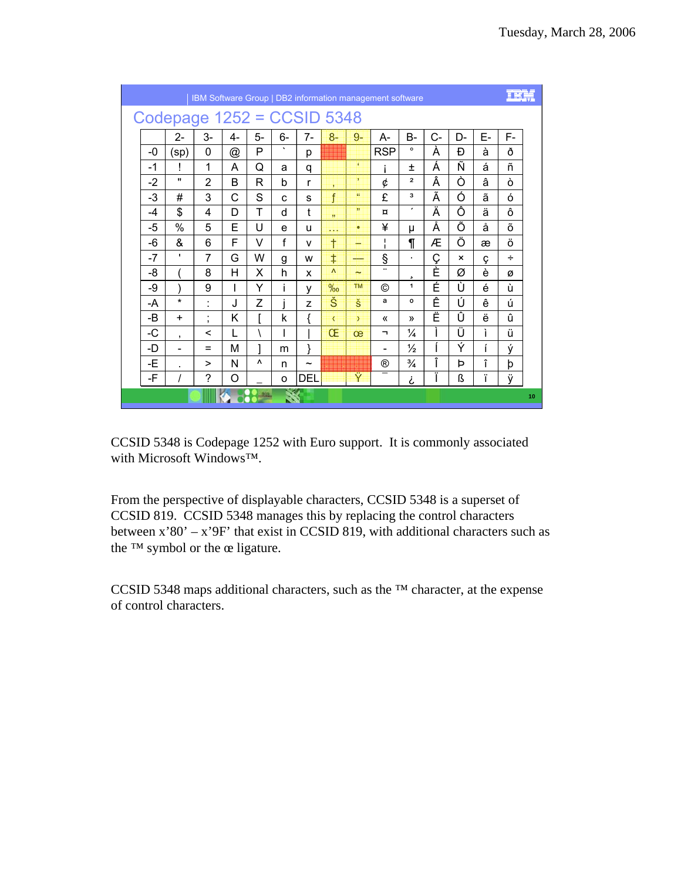|      |                              |                |      |          |         |                       |                         |               | IBM Software Group   DB2 information management software |                         |       |                           |    |    |    |
|------|------------------------------|----------------|------|----------|---------|-----------------------|-------------------------|---------------|----------------------------------------------------------|-------------------------|-------|---------------------------|----|----|----|
|      | Codepage $1252 = CCSID 5348$ |                |      |          |         |                       |                         |               |                                                          |                         |       |                           |    |    |    |
|      | 2-                           | $3-$           | $4-$ | 5-       | 6-      | $7-$                  | $8-$                    | $9-$          | A-                                                       | <b>B-</b>               | $C -$ | D-                        | E- | F- |    |
| -0   | (sp)                         | 0              | @    | P        | $\cdot$ | p                     |                         |               | <b>RSP</b>                                               | $\circ$                 | À     | Ð                         | à  | ð  |    |
| $-1$ | Ī                            | 1              | A    | Q        | a       | q                     |                         | ×             |                                                          | 土                       | Á     | Ñ                         | á  | ñ  |    |
| $-2$ | $\mathbf{u}$                 | $\overline{2}$ | B    | R        | b       | r                     | ×                       | 3.            | ¢                                                        | $\overline{\mathbf{z}}$ | Â     | Ò                         | â  | ò  |    |
| $-3$ | #                            | 3              | C    | S        | C       | S                     | f                       | $\Omega$      | £                                                        | з                       | Ã     | Ó                         | ã  | ó  |    |
| $-4$ | \$                           | 4              | D    | т        | d       | t                     | $\overline{\mathbf{3}}$ | 33            | $\alpha$                                                 | ,                       | Ä     | Ô                         | ä  | ô  |    |
| -5   | %                            | 5              | E    | U        | e       | u                     | <b>.</b>                | ٠             | ¥                                                        | μ                       | Å     | Õ                         | å  | õ  |    |
| -6   | &                            | 6              | F    | V        | f       | $\mathsf{v}$          | t                       | -             | T<br>I.                                                  | ſ                       | Æ     | Ö                         | æ  | ö  |    |
| $-7$ | ٠                            | 7              | G    | W        | g       | w                     | ŧ                       |               | ş                                                        | $\blacksquare$          | Ç     | $\boldsymbol{\mathsf{x}}$ | Ç  | ÷  |    |
| -8   |                              | 8              | н    | X        | h       | X                     | $\Lambda$               | $\sim$        |                                                          | د                       | È     | Ø                         | è  | Ø  |    |
| -9   |                              | 9              | ı    | Y        | i       | y                     | $\%$                    | <b>TM</b>     | ©                                                        | 1                       | É     | Ù                         | é  | ù  |    |
| -A   | $^\star$                     | ÷.             | J    | Z        |         | Z                     | Š                       | š             | a                                                        | $\circ$                 | Ê     | Ú                         | ê  | ú  |    |
| -B   | $\ddot{}$                    | ٠<br>$\,$      | Κ    | г        | k       | ſ                     | $\overline{\left(}$     | $\rightarrow$ | $\langle \langle$                                        | $\mathcal{V}$           | Ë     | Û                         | ë  | û  |    |
| -C   | $\overline{ }$               | <              | L    |          |         |                       | Œ                       | œ             | ┑                                                        | ¼                       | L     | Ü                         | ì  | ü  |    |
| -D   | $\qquad \qquad \blacksquare$ | $=$            | М    | 1        | m       | }                     |                         |               | -                                                        | $\frac{1}{2}$           |       | Ý                         | í  | ý  |    |
| -E   | Ĭ.                           | $\geq$         | N    | ٨        | n       | $\tilde{\phantom{a}}$ |                         |               | $^{\circledR}$                                           | $\frac{3}{4}$           | Î     | Þ                         | î  | þ  |    |
| -F   | I                            | ?              | O    |          | O       | DEL                   |                         | Ÿ             |                                                          | نى                      | Ϊ     | ß                         | ï  | ÿ  |    |
|      |                              |                |      | $-210 -$ |         |                       |                         |               |                                                          |                         |       |                           |    |    | 10 |

CCSID 5348 is Codepage 1252 with Euro support. It is commonly associated with Microsoft Windows<sup>TM</sup>.

From the perspective of displayable characters, CCSID 5348 is a superset of CCSID 819. CCSID 5348 manages this by replacing the control characters between  $x'80' - x'9F'$  that exist in CCSID 819, with additional characters such as the <sup>TM</sup> symbol or the œ ligature.

CCSID 5348 maps additional characters, such as the <sup>TM</sup> character, at the expense of control characters.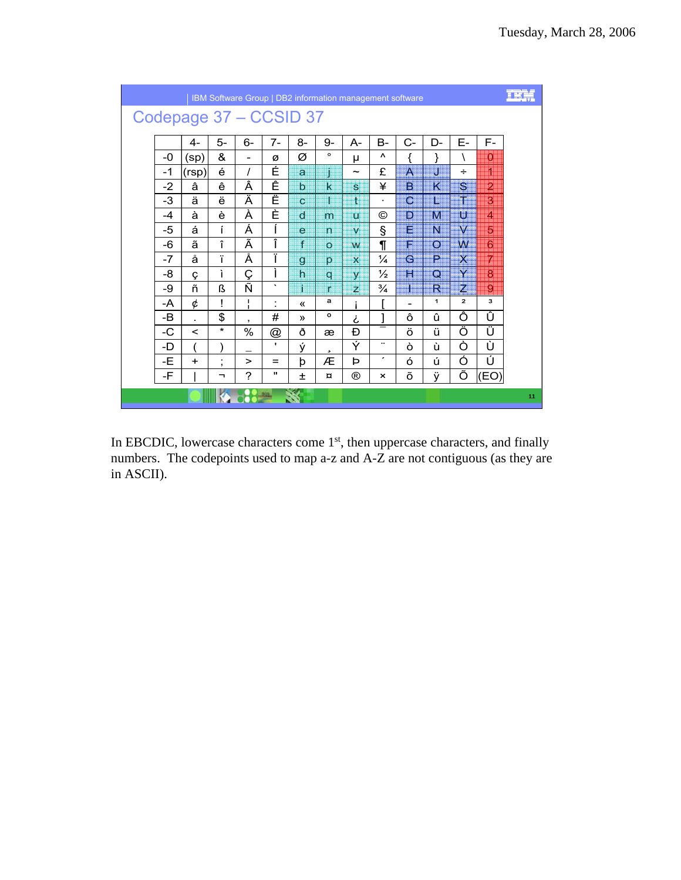|      |                        |         |                    |                      |               |              | IBM Software Group   DB2 information management software |                |                          |                   |              |                |    |
|------|------------------------|---------|--------------------|----------------------|---------------|--------------|----------------------------------------------------------|----------------|--------------------------|-------------------|--------------|----------------|----|
|      | Codepage 37 - CCSID 37 |         |                    |                      |               |              |                                                          |                |                          |                   |              |                |    |
|      | 4-                     | 5-      | 6-                 | $7-$                 | $8-$          | 9-           | $A -$                                                    | $B -$          | $C-$                     | D-                | Е-           | F-             |    |
| -0   | (sp)                   | &       | ۰                  | Ø                    | Ø             | $\circ$      | μ                                                        | Λ              |                          |                   |              | $\mathbf{0}$   |    |
| $-1$ | (rsp)                  | é       | $\prime$           | É                    | a             |              | $\tilde{\phantom{a}}$                                    | £              | A                        | IJ                | ÷            | n              |    |
| $-2$ | â                      | ê       | Â                  | Ê                    | $\mathbf b$   | $\mathbf k$  | $\mathbf{s}$                                             | ¥              | B                        | K                 | S.           | $\overline{2}$ |    |
| -3   | ä                      | ë       | Ä                  | Ë                    | $\mathbf{C}$  |              | $\mathbf{1}$                                             | $\blacksquare$ | C                        | I                 | T            | $\overline{3}$ |    |
| $-4$ | à                      | è       | À                  | È                    | $\mathbf d$   | m            | $\overline{u}$                                           | ©              | D.                       | M                 | U            | 4              |    |
| -5   | á                      | í       | Á                  | Í                    | e             | $\mathsf{n}$ | $\mathbf{V}$                                             | Ŝ              | E                        | N.                | $\dot{M}$    | $\overline{5}$ |    |
| -6   | ã                      | î       | Ã                  | Î                    | f             | $\Omega$     | W                                                        | ſ              | F.                       | $\circ$           | W            | 6              |    |
| $-7$ | å                      | ï       | Å                  | Ï                    | $\mathbf{Q}$  | p            | $\mathbf x$                                              | $\frac{1}{4}$  | G                        | ₽                 | $\mathsf{X}$ | 7              |    |
| -8   | Ç                      | ì       | Ç                  | ì                    | $\mathsf{h}$  | $\mathbf{C}$ | <b>V</b>                                                 | $\frac{1}{2}$  | H                        | $\mathbf{\Omega}$ | Y            | 8              |    |
| -9   | ñ                      | ß       | Ñ                  | $\cdot$              | í             | r            | $\overline{z}$                                           | $\frac{3}{4}$  | I                        | R                 | $Z_{\rm s}$  | 9              |    |
| -A   | ¢                      | Ţ       | L.<br>$\mathbf{I}$ | $\ddot{\phantom{a}}$ | «             | а            | i                                                        | [              | $\overline{\phantom{0}}$ | 1                 | $\mathbf{z}$ | з              |    |
| -B   | $\mathbf{r}$           | \$      | $\mathbf{z}$       | #                    | $\mathcal{P}$ | o            | نى                                                       | l              | ô                        | û                 | Ô            | Û              |    |
| $-C$ | $\lt$                  | $\star$ | %                  | @                    | ð             | æ            | Ð                                                        |                | ö                        | ü                 | Ö            | Ü              |    |
| -D   |                        |         |                    | $\blacksquare$       | ý             | s            | Ý                                                        |                | ò                        | ù                 | Ò            | Ù              |    |
| $-E$ | $+$                    | ٠<br>,  | $\mathbf{r}$       | $=$                  | þ             | Æ            | Þ                                                        | $\pmb{\cdot}$  | ó                        | ú                 | Ó            | Ú              |    |
| -F   |                        | ┑       | ?                  |                      | 士             | $\alpha$     | $^{\circledR}$                                           | $\times$       | õ                        | ÿ                 | Õ            | (EO)           |    |
|      |                        |         |                    |                      |               |              |                                                          |                |                          |                   |              |                | 11 |

In EBCDIC, lowercase characters come 1<sup>st</sup>, then uppercase characters, and finally numbers. The codepoints used to map a-z and A-Z are not contiguous (as they are in ASCII).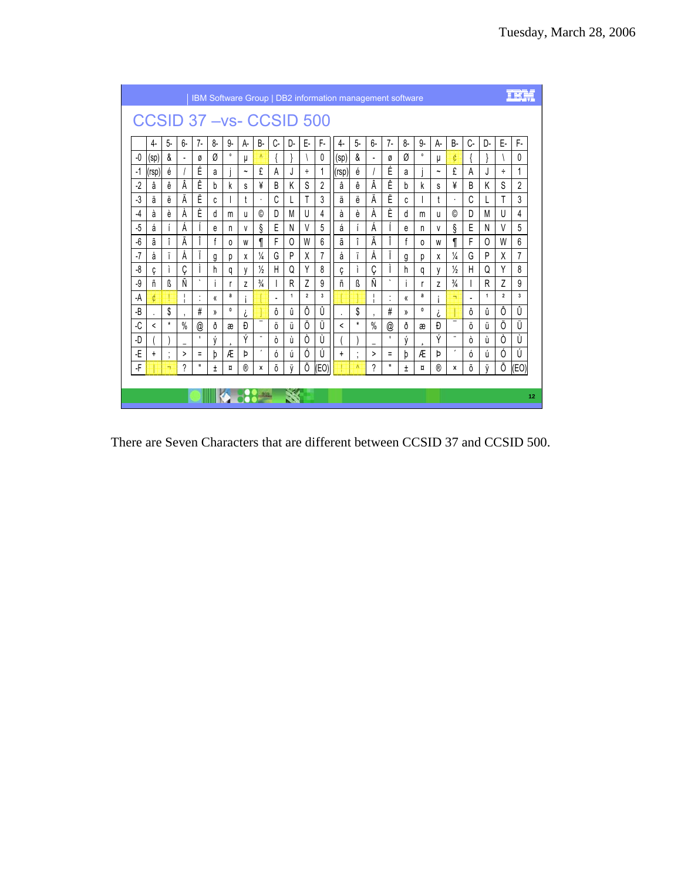|      |            |              |                          |                    |    |             |             |               |    |              |                |                           | IBM Software Group   DB2 information management software |              |                          |                   |              |             |                       |               |    |              |                |      |
|------|------------|--------------|--------------------------|--------------------|----|-------------|-------------|---------------|----|--------------|----------------|---------------------------|----------------------------------------------------------|--------------|--------------------------|-------------------|--------------|-------------|-----------------------|---------------|----|--------------|----------------|------|
|      |            |              |                          |                    |    |             |             |               |    |              |                | CCSID 37 - vs - CCSID 500 |                                                          |              |                          |                   |              |             |                       |               |    |              |                |      |
|      | 4-         | $5-$         | 6-                       | $7-$               | 8- | 9-          | А-          | <b>B-</b>     | C- | D-           | Е-             | F-                        | 4-                                                       | $5-$         | $6-$                     | $7-$              | 8-           | 9-          | A-                    | <b>B-</b>     | C- | D-           | Е-             | F-   |
| -0   | (sp)       | &            | $\overline{\phantom{a}}$ | Ø                  | Ø  | $\circ$     | μ           | $\Lambda$     |    |              |                | 0                         | (sp)                                                     | &            | $\overline{\phantom{a}}$ | Ø                 | Ø            | $\circ$     | μ                     | ¢             |    |              |                | 0    |
| -1   | (rsp)      | é            |                          | É                  | a  |             | $\tilde{ }$ | £             | A  | J            | ÷              | 1                         | (rsp)                                                    | è            |                          | É                 | a            |             | $\tilde{\phantom{a}}$ | £             | A  | J            | ÷              | 1    |
| $-2$ | â          | ê            | Â                        | Ê                  | b  | k           | s           | ¥             | B  | K            | S              | $\overline{2}$            | â                                                        | ê            | Â                        | Ê                 | <sub>b</sub> | k           | S                     | ¥             | B  | Κ            | S              | 2    |
| $-3$ | ä          | ë            | Ä                        | Ë                  | C  |             | t           | $\cdot$       | Ć  |              |                | 3                         | ä                                                        | ë            | Ä                        | Ë                 | C            |             | t                     | $\cdot$       | C  |              | T              | 3    |
| -4   | à          | è            | Á                        | È                  | d  | m           | u           | ©             | D  | М            | U              | 4                         | à                                                        | è            | Á                        | È                 | d            | m           | u                     | ©             | D  | M            | U              | 4    |
| $-5$ | á          |              | À                        |                    | e  | n           | V           | ş             | Ε  | N            | V              | 5                         | á                                                        |              | А                        |                   | e            | n           | V                     | ş             | Е  | N            | V              | 5    |
| -6   | ã          | ۸            | Ã                        |                    |    | 0           | W           |               | F  | $\Omega$     | W              | 6                         | ã                                                        | î            | Ã                        | L                 | f            | $\Omega$    | W                     |               | F  | $\Omega$     | W              | 6    |
| -7   | å          |              | A                        |                    | g  | р           | X           | $\frac{1}{4}$ | G  | P            | X              | 7                         | å                                                        |              | A                        |                   | g            | р           | x                     | $\frac{1}{4}$ | G  | P            | X              | 7    |
| -8   | Ç          |              | Ç                        |                    | h  | q           | V           | $\frac{1}{2}$ | Н  | Q            | Υ              | 8                         | Ç                                                        |              | Ç                        | L                 | h            | q           | y                     | $\frac{1}{2}$ | Н  | Q            | Υ              | 8    |
| -9   | ñ          | ß            | Ñ                        | $\sqrt{2}$         |    |             | Z           | $\frac{3}{4}$ |    | R            | Z              | 9                         | ñ                                                        | ß            | Ñ                        | $\cdot$           | L            | r           | Z                     | $\frac{3}{4}$ |    | R            | $\overline{7}$ | 9    |
| -A   | ¢          |              |                          | $\cdot$<br>$\cdot$ | «  | а           |             |               | ٠  | $\mathbf{1}$ | $\overline{2}$ | 3                         |                                                          |              | $\overline{\phantom{a}}$ | ٠<br>$\cdot$      | «            | a           |                       | ÷             |    | $\mathbf{1}$ | $\overline{2}$ | 3    |
| -B   | $\sim$     | \$           | $\cdot$                  | $\#$               | )) | $\mathbf 0$ | i           | -             | ô  | û            | Ô              | Û                         |                                                          | \$           | $\cdot$                  | #                 | ))           | $\mathbf 0$ | ሪ                     | -             | ô  | û            | Ô              | Û    |
| -C   | $\epsilon$ | $\star$      | $\%$                     | @<br>$\mathbf{L}$  | ð  | æ           | Đ           |               | ö  | ű            | Ö              | Ü                         | $\overline{\phantom{a}}$                                 | $\star$      | $\%$                     | @<br>$\mathbf{I}$ | ð            | æ           | Đ                     |               | ö  | ü            | Ö              | Ü    |
| -D   |            |              |                          |                    | ý  |             | Ý           | $\pmb{\cdot}$ | ò  | ù            | 0              | Ù                         |                                                          |              |                          |                   | ý            |             | Ý                     | $\pmb{\cdot}$ | ò  | ù            | Ò              | Ù    |
| -E   | $\ddot{}$  | $\cdot$<br>٠ | >                        | $\equiv$<br>Ш      | h  | Æ           | Þ           |               | ó  | ú            | Ó              | Ú                         | $\ddot{}$                                                | ٠<br>$\cdot$ | >                        | $\equiv$<br>п     | þ            | Æ           | Þ                     |               | ó  | ú            | Ó              | Ú    |
| -F   |            | ÷            | 2                        |                    | Ŧ  | ¤           | ®           | x             | Õ  | Ÿ            | Õ              | (EO)                      |                                                          | $\Lambda$    | ?                        |                   | Ŧ            | n           | ®                     | x             | õ  | Ÿ            | Õ              | (EO) |
|      |            |              |                          |                    |    |             |             |               |    |              |                |                           |                                                          |              |                          |                   |              |             |                       |               |    |              |                |      |
|      |            |              |                          |                    |    |             |             |               |    |              |                |                           |                                                          |              |                          |                   |              |             |                       |               |    |              |                | 12   |

There are Seven Characters that are different between CCSID 37 and CCSID 500.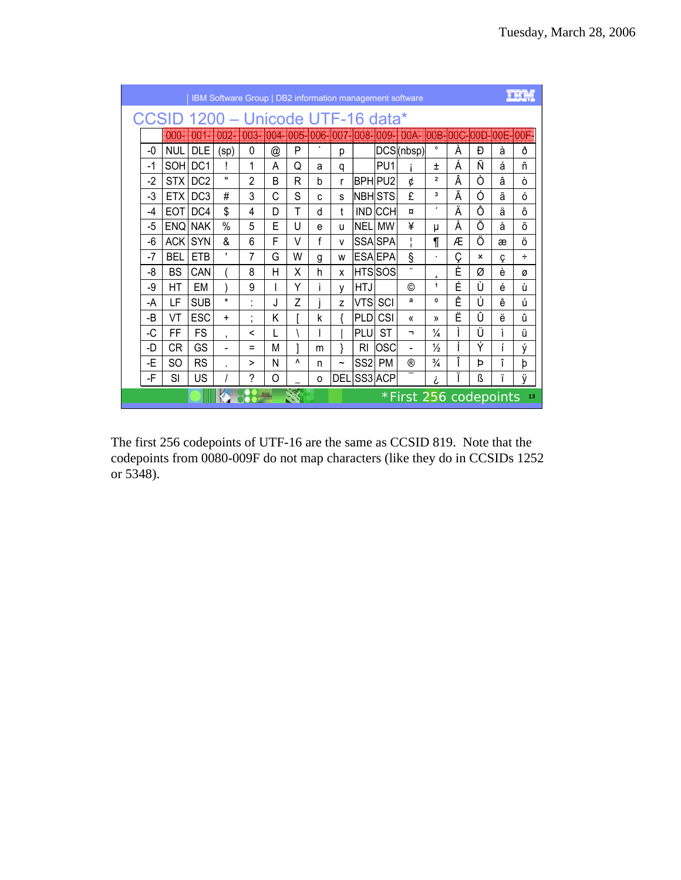|      |            |                             |                              |                |      |     |    |             |                 |                     | IBM Software Group   DB2 information management software |                         |   |                           |                            |    |
|------|------------|-----------------------------|------------------------------|----------------|------|-----|----|-------------|-----------------|---------------------|----------------------------------------------------------|-------------------------|---|---------------------------|----------------------------|----|
|      | CCSID      | 1200 – Unicode UTF-16 data* |                              |                |      |     |    |             |                 |                     |                                                          |                         |   |                           |                            |    |
|      | 1900       | 001-                        | 002-                         | 003-           | 0045 | 005 |    |             |                 | 006-007-008-009-    | 00A                                                      |                         |   |                           | <b>OOB-00C-00D-00E-00F</b> |    |
| -0   | <b>NUL</b> | <b>DLE</b>                  | (sp)                         | 0              | @    | P   | ٠  | р           |                 |                     | DCS(nbsp)                                                | $\circ$                 | À | Ð                         | à                          | ð  |
| $-1$ | <b>SOH</b> | DC <sub>1</sub>             |                              | 1              | A    | Q   | a  | q           |                 | PU <sub>1</sub>     |                                                          | $\pm$                   | Á | Ñ                         | á                          | ñ  |
| $-2$ | STX        | DC <sub>2</sub>             | $\mathbf{H}$                 | $\mathfrak{p}$ | B    | R   | h  | r           |                 | BPH PU <sub>2</sub> | ¢                                                        | $\overline{\mathbf{2}}$ | Â | Ò                         | â                          | ò  |
| -3   | ETX I      | DC <sub>3</sub>             | #                            | 3              | C    | S   | C. | S           |                 | <b>NBH STS</b>      | £                                                        | 3                       | Ã | Ó                         | ã                          | ó  |
| -4   | <b>EOT</b> | DC <sub>4</sub>             | \$                           | 4              | D    | т   | d  | t           |                 | <b>IND CCH</b>      | $\overline{a}$                                           | ,                       | Ä | Ô                         | ä                          | ô  |
| -5   | <b>ENQ</b> | <b>NAK</b>                  | $\%$                         | 5              | F    | U   | e  | u           | <b>NELI</b>     | <b>MW</b>           | ¥                                                        | μ                       | Å | Õ                         | å                          | õ  |
| -6   | <b>ACK</b> | <b>SYN</b>                  | &                            | 6              | F    | V   | f  | v           |                 | <b>SSA SPA</b>      | т                                                        | ſ                       | Æ | Ö                         | æ                          | Ö  |
| $-7$ | <b>BEL</b> | <b>ETB</b>                  | ٠                            | 7              | G    | W   | g  | W           |                 | <b>ESA EPA</b>      | ş                                                        | ٠                       | Ç | $\boldsymbol{\mathsf{x}}$ | ç                          | ÷  |
| -8   | <b>BS</b>  | CAN                         |                              | 8              | н    | X   | h  | X           |                 | <b>HTSSOS</b>       | Ω.                                                       |                         | È | Ø                         | è                          | Ø  |
| -9   | НT         | EM                          |                              | 9              |      | Υ   | ı  | y           | HTJ             |                     | ◎                                                        | 1                       | É | Ù                         | é                          | ù  |
| -A   | LF         | <b>SUB</b>                  | $\star$                      | $\cdot$        | J    | Z   |    | Z           | VTSI            | SCI                 | a                                                        | $\mathbf{o}$            | Ê | Ú                         | ê                          | ú  |
| -B   | VT         | <b>ESC</b>                  | $\ddot{}$                    | $\bullet$<br>, | Κ    |     | k  |             | <b>PLD</b>      | CSI                 | $\langle \langle$                                        | $\mathcal{Y}$           | Ë | Û                         | ë                          | û  |
| -C   | FF         | <b>FS</b>                   | $\cdot$                      | ≺              |      |     |    |             | <b>PLU</b>      | <b>ST</b>           | ┑                                                        | $\frac{1}{4}$           |   | Ü                         | ì                          | ü  |
| -D   | СR         | GS                          | $\qquad \qquad \blacksquare$ | $=$            | М    |     | m  |             | RI              | OSC                 |                                                          | $\frac{1}{2}$           |   | Ý                         |                            | ý  |
| -E   | SO         | <b>RS</b>                   |                              | >              | N    | ٨   | n  | $\tilde{ }$ | SS <sub>2</sub> | <b>PM</b>           | $^{\circledR}$                                           | $\frac{3}{4}$           | Î | Þ                         | î                          | þ  |
| -F   | SI         | US                          |                              | ?              | O    |     | O  | DEL         |                 | SS3 ACP             |                                                          | i                       |   | ß                         | ï                          | ÿ  |
|      |            |                             |                              |                |      |     |    |             |                 |                     | *First 256 codepoints                                    |                         |   |                           |                            | 13 |

The first 256 codepoints of UTF-16 are the same as CCSID 819. Note that the codepoints from 0080-009F do not map characters (like they do in CCSIDs 1252 or 5348).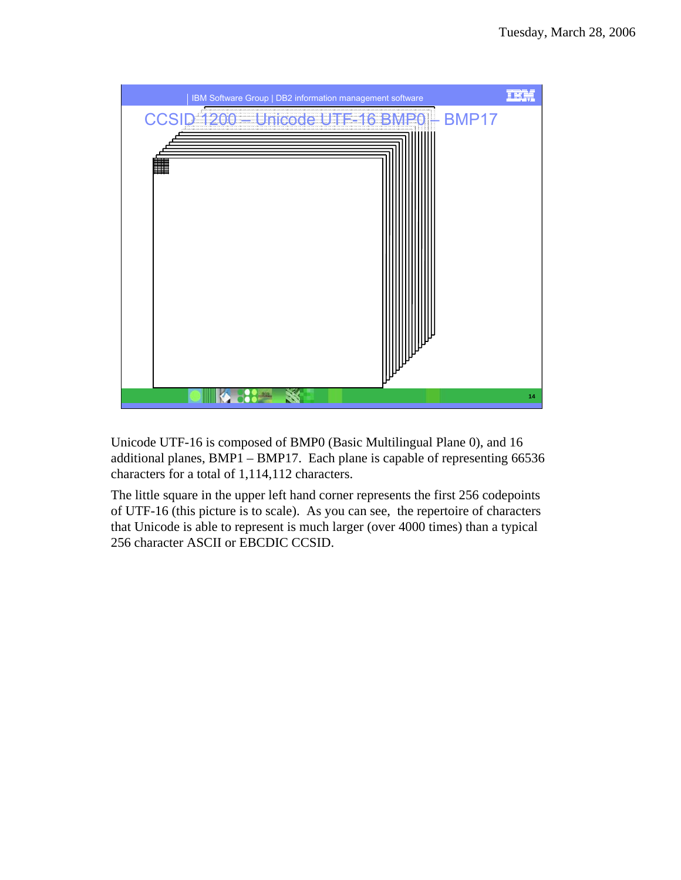

Unicode UTF-16 is composed of BMP0 (Basic Multilingual Plane 0), and 16 additional planes, BMP1 – BMP17. Each plane is capable of representing 66536 characters for a total of 1,114,112 characters.

The little square in the upper left hand corner represents the first 256 codepoints of UTF-16 (this picture is to scale). As you can see, the repertoire of characters that Unicode is able to represent is much larger (over 4000 times) than a typical 256 character ASCII or EBCDIC CCSID.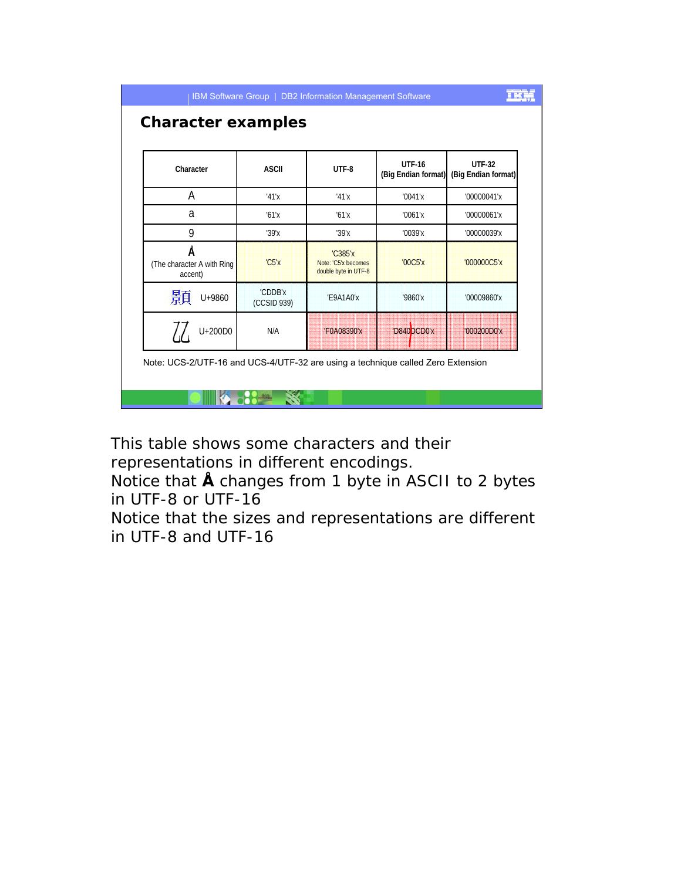| Character                                  |         | <b>ASCII</b>           | UTF-8                                                         | <b>UTF-16</b><br>(Big Endian format) | <b>UTF-32</b><br>(Big Endian format) |
|--------------------------------------------|---------|------------------------|---------------------------------------------------------------|--------------------------------------|--------------------------------------|
| A                                          |         | '41'x                  | '41'x                                                         | '0041'x                              | '00000041'x                          |
| a                                          |         | '61'x                  | '61'x                                                         | '0061'x                              | '00000061'x                          |
| 9                                          |         | '39'x                  | '39'x                                                         | '0039'x                              | '00000039'x                          |
| Å<br>(The character A with Ring<br>accent) |         | 'C5'x                  | <b>'C385'x</b><br>Note: 'C5'x becomes<br>double byte in UTF-8 | '00C5'x                              | '000000C5'x                          |
| 顥                                          | U+9860  | 'CDDB'x<br>(CCSID 939) | 'E9A1A0'x                                                     | '9860'x                              | '00009860'x                          |
|                                            | U+200D0 | N/A                    | 'F0A08390'x                                                   | 'D840 DCD0'x                         | '000200D0'x                          |

This table shows some characters and their representations in different encodings.

Notice that **Å** changes from 1 byte in ASCII to 2 bytes in UTF-8 or UTF-16

Notice that the sizes and representations are different in UTF-8 and UTF-16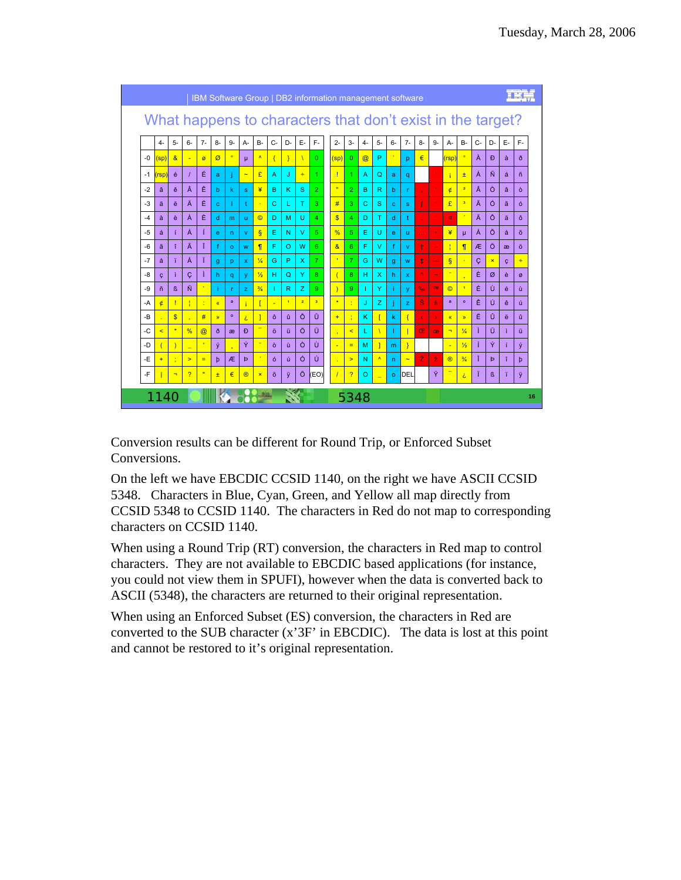

Conversion results can be different for Round Trip, or Enforced Subset Conversions.

On the left we have EBCDIC CCSID 1140, on the right we have ASCII CCSID 5348. Characters in Blue, Cyan, Green, and Yellow all map directly from CCSID 5348 to CCSID 1140. The characters in Red do not map to corresponding characters on CCSID 1140.

When using a Round Trip (RT) conversion, the characters in Red map to control characters. They are not available to EBCDIC based applications (for instance, you could not view them in SPUFI), however when the data is converted back to ASCII (5348), the characters are returned to their original representation.

When using an Enforced Subset (ES) conversion, the characters in Red are converted to the SUB character  $(x'3F'$  in EBCDIC). The data is lost at this point and cannot be restored to it's original representation.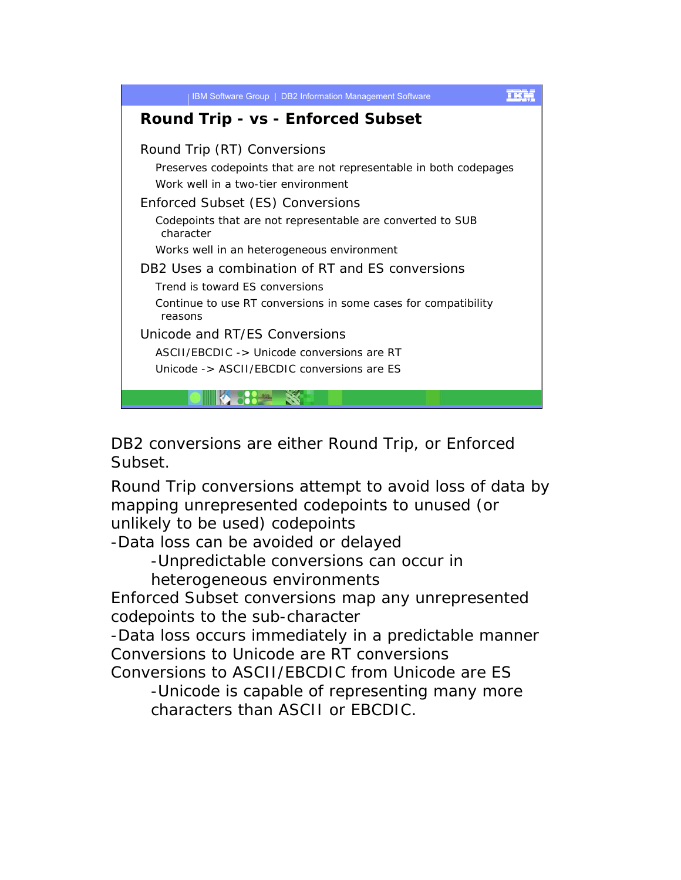

DB2 conversions are either Round Trip, or Enforced Subset.

Round Trip conversions attempt to avoid loss of data by mapping unrepresented codepoints to unused (or unlikely to be used) codepoints

-Data loss can be avoided or delayed

-Unpredictable conversions can occur in

heterogeneous environments

Enforced Subset conversions map any unrepresented codepoints to the sub-character

-Data loss occurs immediately in a predictable manner Conversions to Unicode are RT conversions

Conversions to ASCII/EBCDIC from Unicode are ES

-Unicode is capable of representing many more characters than ASCII or EBCDIC.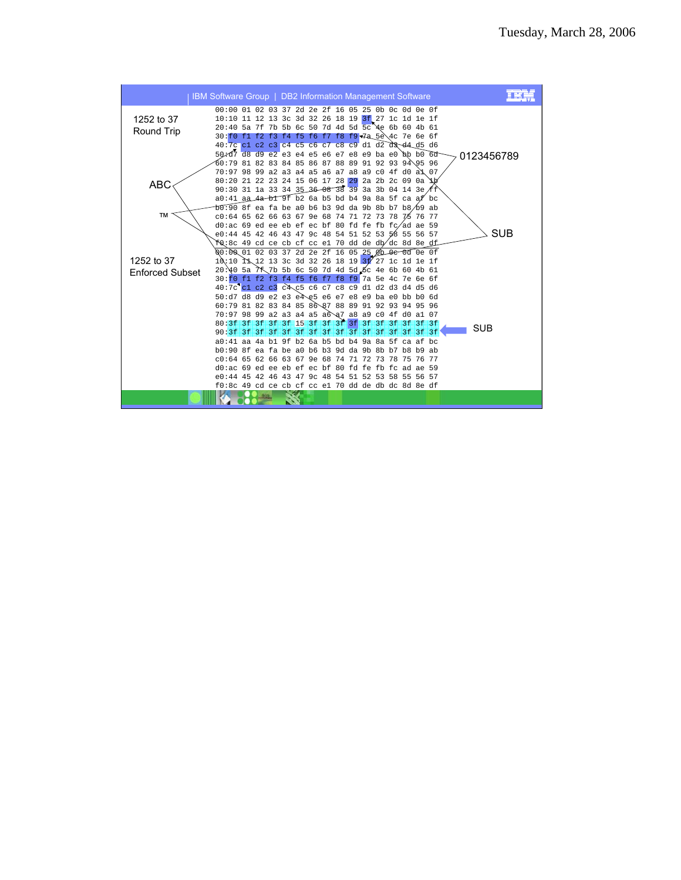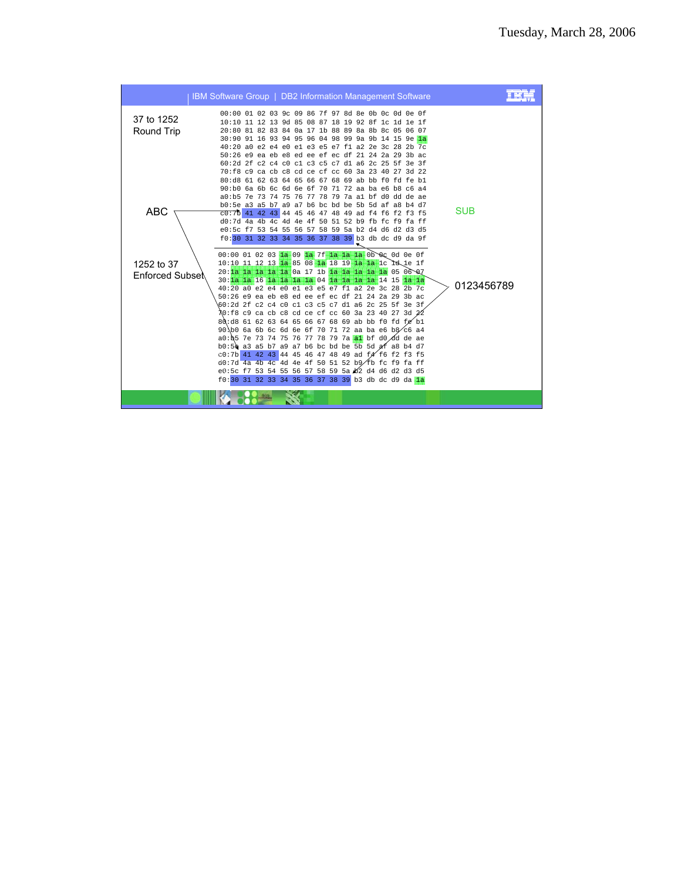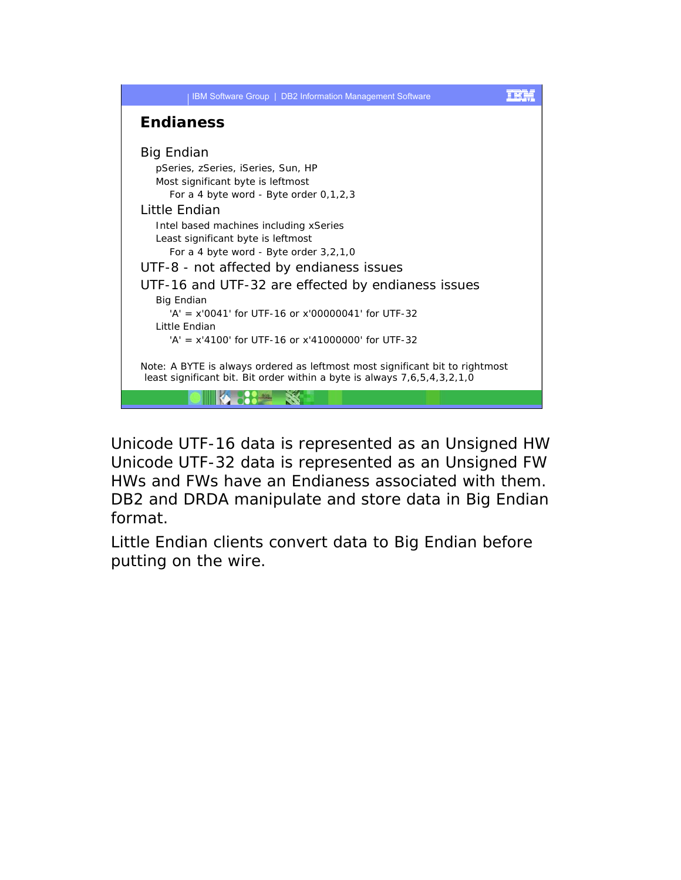

Unicode UTF-16 data is represented as an Unsigned HW Unicode UTF-32 data is represented as an Unsigned FW HWs and FWs have an Endianess associated with them. DB2 and DRDA manipulate and store data in Big Endian format.

Little Endian clients convert data to Big Endian before putting on the wire.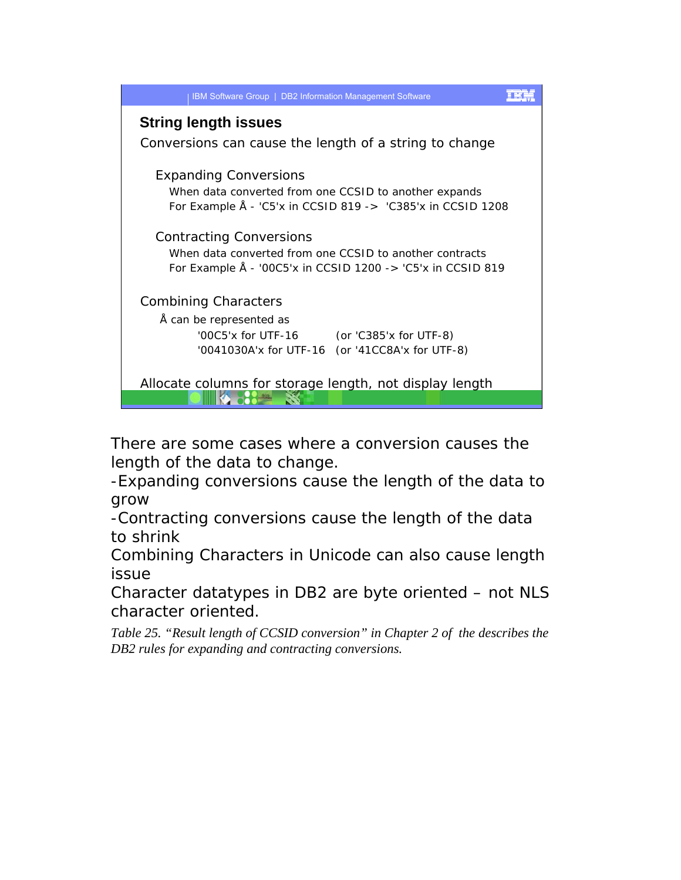| IBM Software Group   DB2 Information Management Software        |
|-----------------------------------------------------------------|
| <b>String length issues</b>                                     |
| Conversions can cause the length of a string to change          |
| <b>Expanding Conversions</b>                                    |
| When data converted from one CCSID to another expands           |
| For Example $\AA$ - 'C5'x in CCSID 819 -> 'C385'x in CCSID 1208 |
| <b>Contracting Conversions</b>                                  |
| When data converted from one CCSID to another contracts         |
| For Example Å - '00C5'x in CCSID 1200 -> 'C5'x in CCSID 819     |
| <b>Combining Characters</b>                                     |
| Å can be represented as                                         |
| '00C5'x for UTF-16 (or 'C385'x for UTF-8)                       |
| '0041030A'x for UTF-16 (or '41CC8A'x for UTF-8)                 |
|                                                                 |
| Allocate columns for storage length, not display length         |
|                                                                 |

There are some cases where a conversion causes the length of the data to change.

-Expanding conversions cause the length of the data to grow

-Contracting conversions cause the length of the data to shrink

Combining Characters in Unicode can also cause length issue

Character datatypes in DB2 are byte oriented – not NLS character oriented.

*Table 25. "Result length of CCSID conversion" in Chapter 2 of the describes the DB2 rules for expanding and contracting conversions.*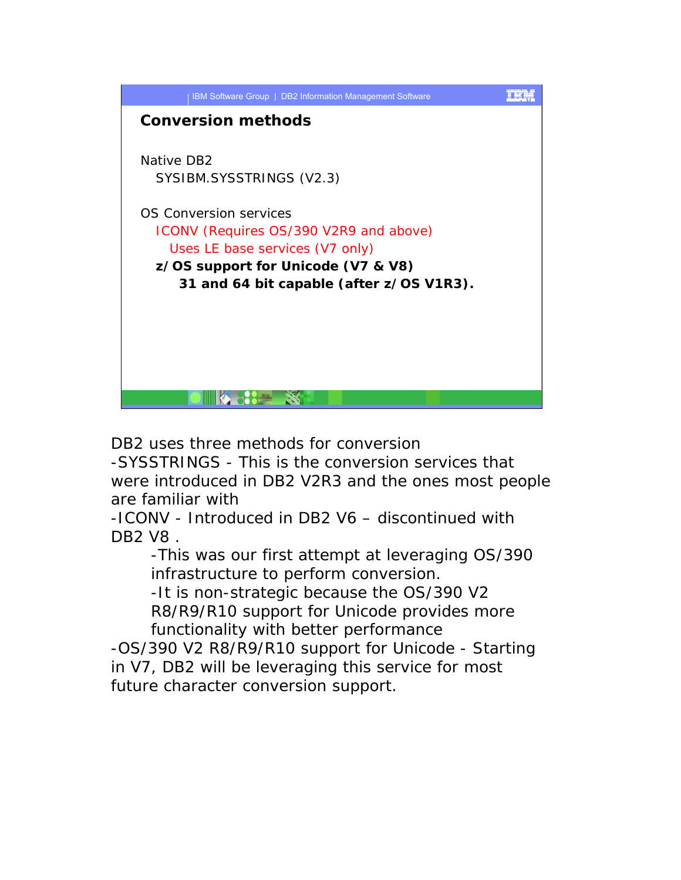

DB2 uses three methods for conversion

-SYSSTRINGS - This is the conversion services that were introduced in DB2 V2R3 and the ones most people are familiar with

-ICONV - Introduced in DB2 V6 – discontinued with DB2 V8 .

-This was our first attempt at leveraging OS/390 infrastructure to perform conversion.

-It is non-strategic because the OS/390 V2 R8/R9/R10 support for Unicode provides more functionality with better performance

-OS/390 V2 R8/R9/R10 support for Unicode - Starting in V7, DB2 will be leveraging this service for most future character conversion support.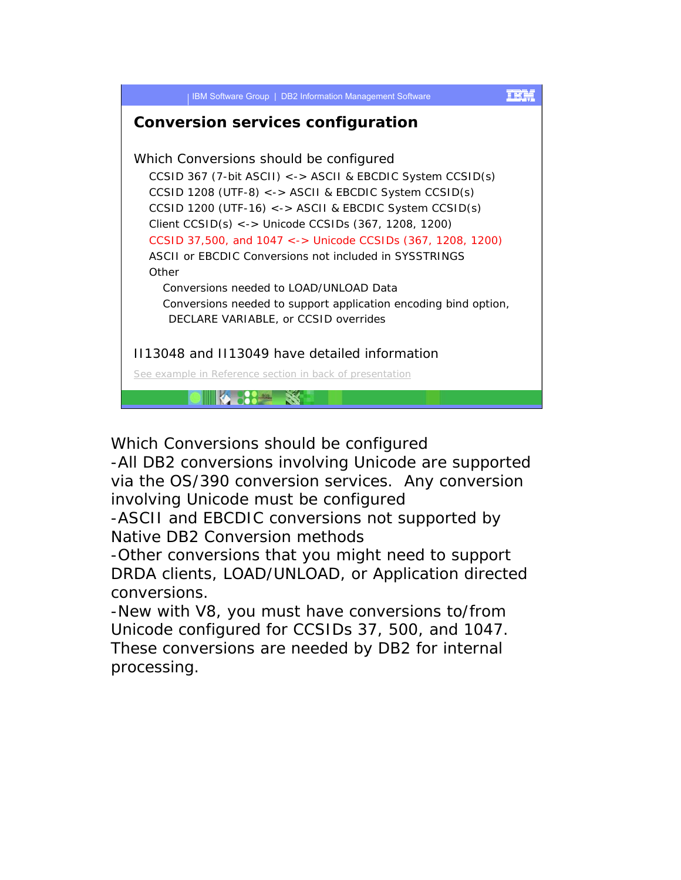

Which Conversions should be configured

-All DB2 conversions involving Unicode are supported via the OS/390 conversion services. Any conversion involving Unicode must be configured

-ASCII and EBCDIC conversions not supported by Native DB2 Conversion methods

-Other conversions that you might need to support DRDA clients, LOAD/UNLOAD, or Application directed conversions.

-New with V8, you must have conversions to/from Unicode configured for CCSIDs 37, 500, and 1047. These conversions are needed by DB2 for internal processing.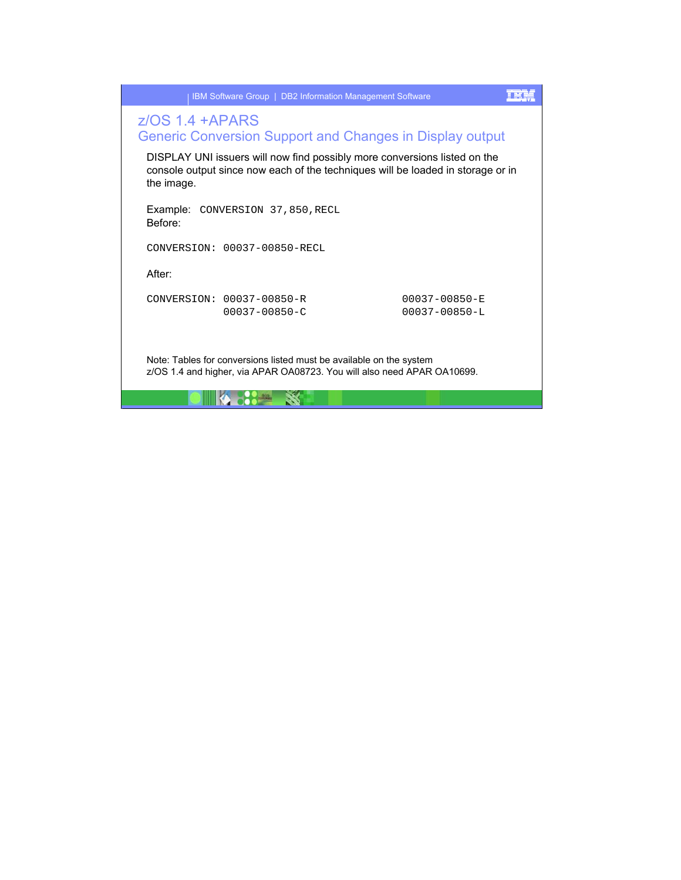|                    | IBM Software Group   DB2 Information Management Software                                                                                                     |                                            |  |
|--------------------|--------------------------------------------------------------------------------------------------------------------------------------------------------------|--------------------------------------------|--|
| $Z/OS$ 1.4 + APARS | Generic Conversion Support and Changes in Display output                                                                                                     |                                            |  |
| the image.         | DISPLAY UNI issuers will now find possibly more conversions listed on the<br>console output since now each of the techniques will be loaded in storage or in |                                            |  |
| Before:            | <b>Example: CONVERSION 37,850, RECL</b>                                                                                                                      |                                            |  |
|                    | CONVERSION: 00037-00850-RECL                                                                                                                                 |                                            |  |
| After:             |                                                                                                                                                              |                                            |  |
|                    | CONVERSION: 00037-00850-R<br>$00037 - 00850 - C$                                                                                                             | $00037 - 00850 - E$<br>$00037 - 00850 - L$ |  |
|                    | Note: Tables for conversions listed must be available on the system<br>z/OS 1.4 and higher, via APAR OA08723. You will also need APAR OA10699.               |                                            |  |

<u>is dina 1948 s</u>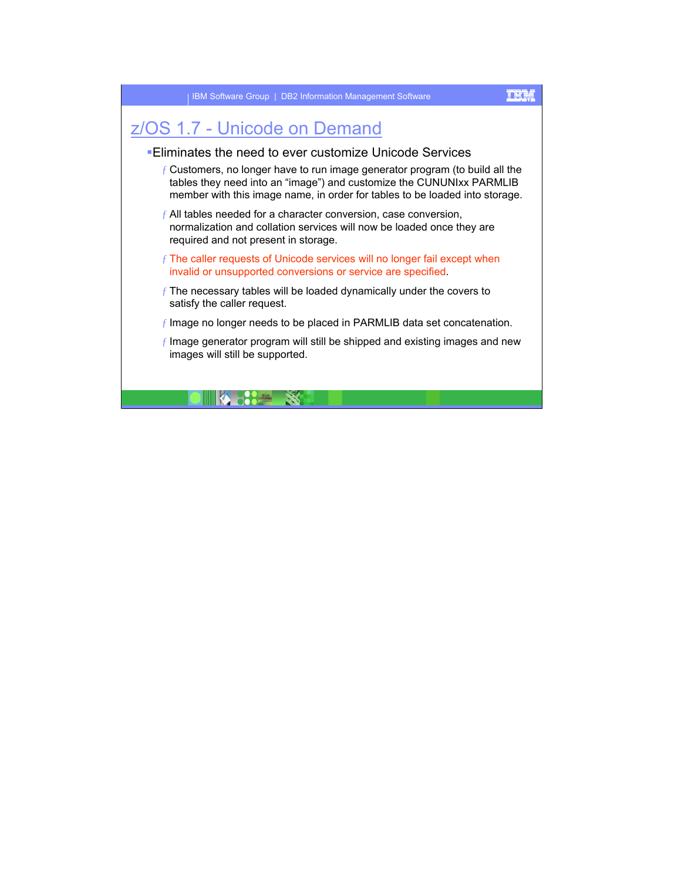## z/OS 1.7 - Unicode on Demand

**14.89 Second Second Second** 

## Eliminates the need to ever customize Unicode Services

- $f$  Customers, no longer have to run image generator program (to build all the tables they need into an "image") and customize the CUNUNIxx PARMLIB member with this image name, in order for tables to be loaded into storage.
- $f$  All tables needed for a character conversion, case conversion, normalization and collation services will now be loaded once they are required and not present in storage.
- $f$  The caller requests of Unicode services will no longer fail except when invalid or unsupported conversions or service are specified.
- $f$  The necessary tables will be loaded dynamically under the covers to satisfy the caller request.
- $f$  Image no longer needs to be placed in PARMLIB data set concatenation.
- $f$  Image generator program will still be shipped and existing images and new images will still be supported.

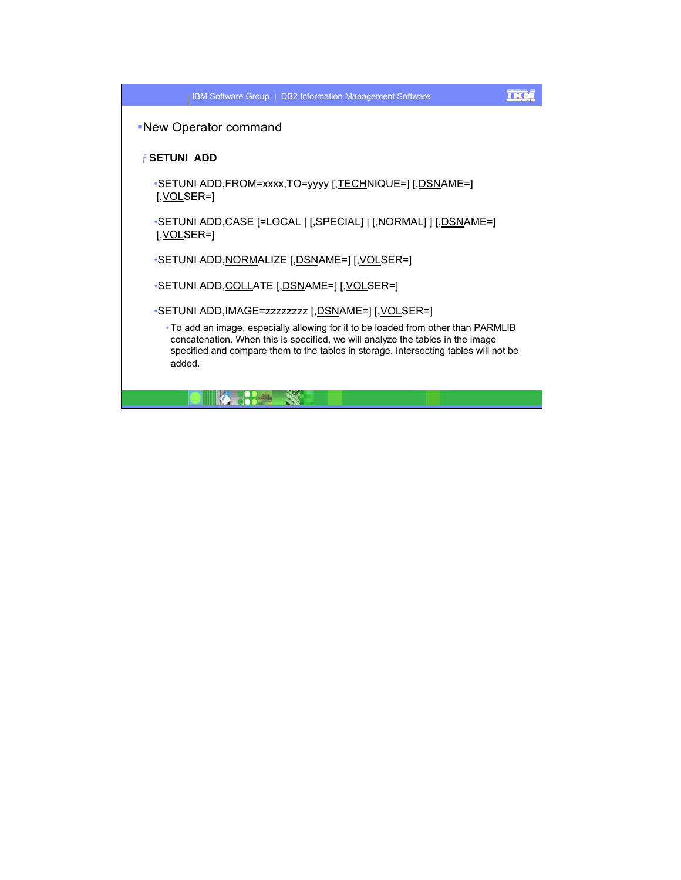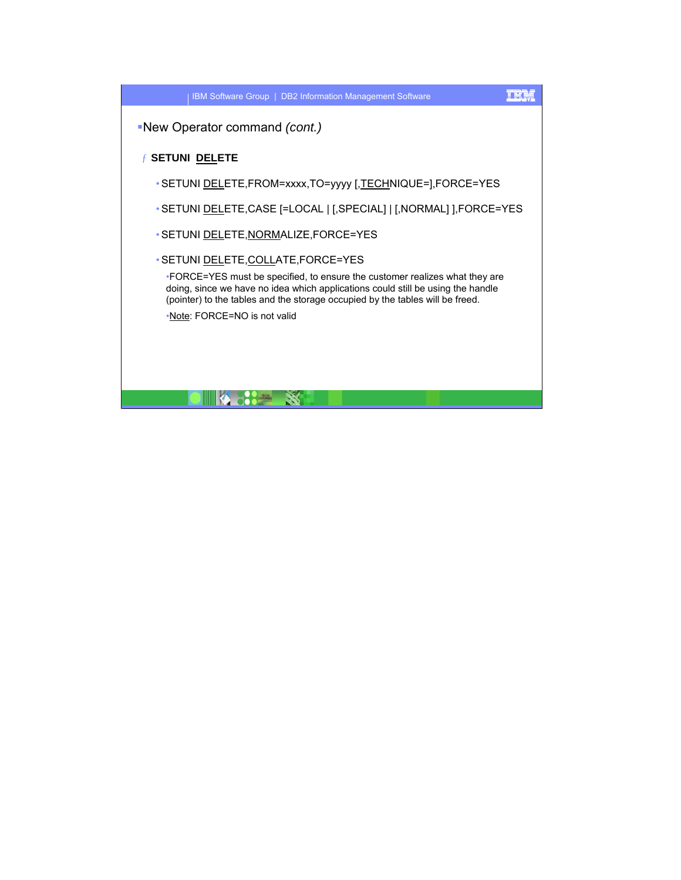IBM Software Group | DB2 Information Management Software

New Operator command *(cont.)*

## ƒ **SETUNI DELETE**

- •SETUNI DELETE,FROM=xxxx,TO=yyyy [,TECHNIQUE=],FORCE=YES
- •SETUNI DELETE,CASE [=LOCAL | [,SPECIAL] | [,NORMAL] ],FORCE=YES
- •SETUNI DELETE,NORMALIZE,FORCE=YES
- •SETUNI DELETE,COLLATE,FORCE=YES

•FORCE=YES must be specified, to ensure the customer realizes what they are doing, since we have no idea which applications could still be using the handle (pointer) to the tables and the storage occupied by the tables will be freed.

•Note: FORCE=NO is not valid



## 正実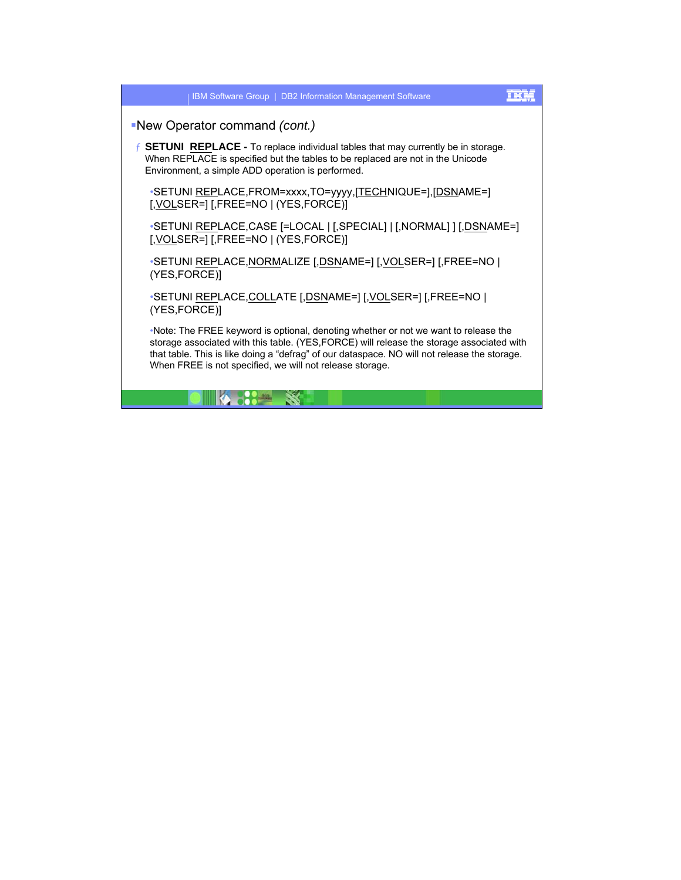| IBM Software Group   DB2 Information Management Software                                                                                                                                                                                                                                                                                     |
|----------------------------------------------------------------------------------------------------------------------------------------------------------------------------------------------------------------------------------------------------------------------------------------------------------------------------------------------|
| -New Operator command (cont.)                                                                                                                                                                                                                                                                                                                |
| <b>SETUNI REPLACE -</b> To replace individual tables that may currently be in storage.<br>When REPLACE is specified but the tables to be replaced are not in the Unicode<br>Environment, a simple ADD operation is performed.                                                                                                                |
| •SETUNI REPLACE, FROM=xxxx, TO=yyyy, [TECHNIQUE=], [DSNAME=]<br><u>[, VOL</u> SER=] [,FREE=NO   (YES,FORCE)]                                                                                                                                                                                                                                 |
| •SETUNI <u>REP</u> LACE,CASE [=LOCAL   [,SPECIAL]   [,NORMAL] ] <u>[,DSN</u> AME=]                                                                                                                                                                                                                                                           |
| •SETUNI REPLACE, NORMALIZE [, DSNAME=] [, VOLSER=] [, FREE=NO  <br>(YES,FORCE)]                                                                                                                                                                                                                                                              |
| •SETUNI REPLACE, COLLATE [, DSNAME=] [, VOLSER=] [, FREE=NO  <br>(YES,FORCE)]                                                                                                                                                                                                                                                                |
| •Note: The FREE keyword is optional, denoting whether or not we want to release the<br>storage associated with this table. (YES, FORCE) will release the storage associated with<br>that table. This is like doing a "defrag" of our dataspace. NO will not release the storage.<br>When FREE is not specified, we will not release storage. |

<u> Dinasta Start Start Bohann (b. 1989)</u>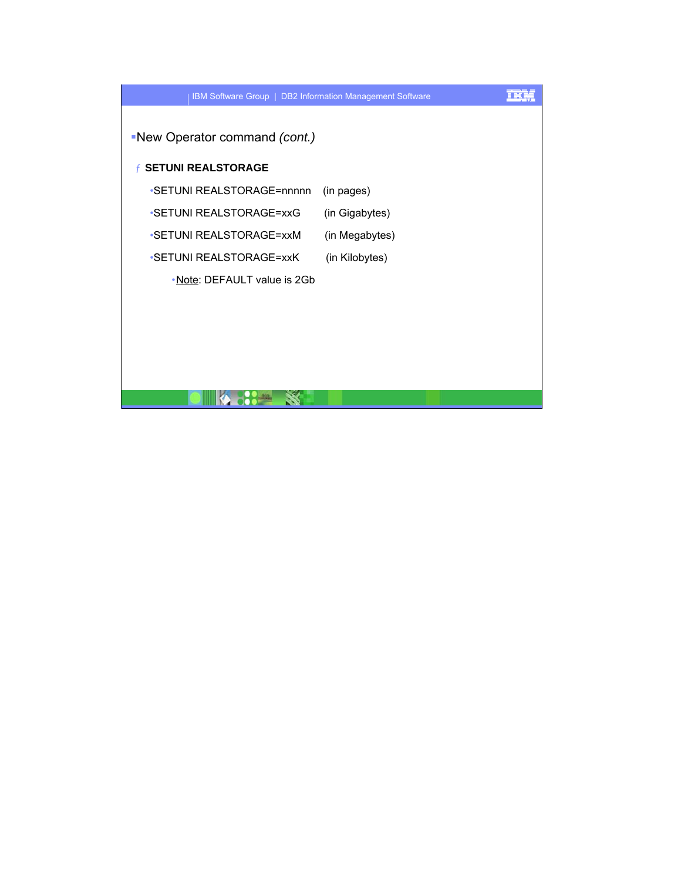

**DIACCE S**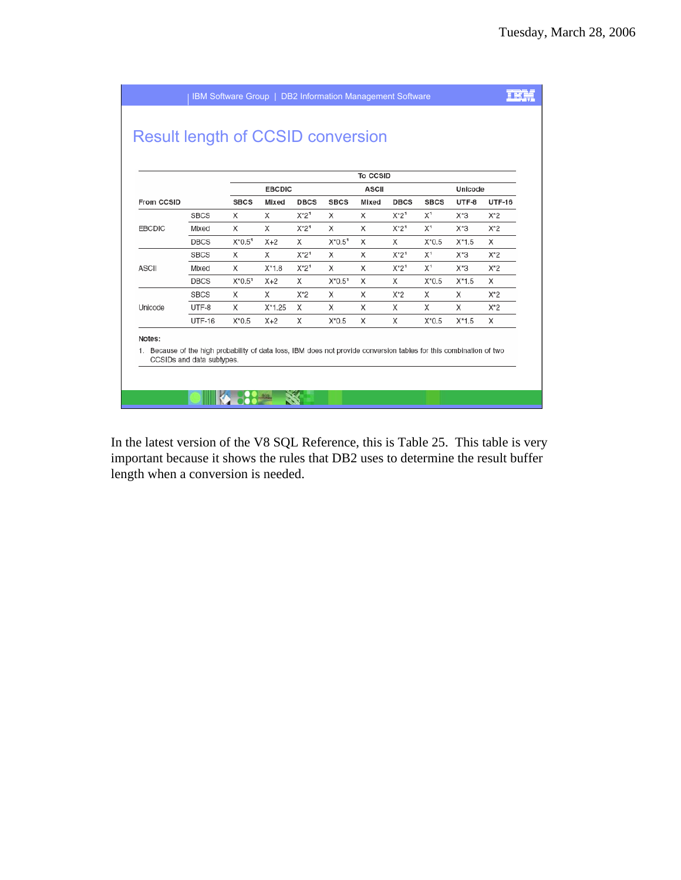|               |               |             |               |             |             | To CCSID     |             |                |         |               |
|---------------|---------------|-------------|---------------|-------------|-------------|--------------|-------------|----------------|---------|---------------|
|               |               |             | <b>EBCDIC</b> |             |             | <b>ASCII</b> |             |                | Unicode |               |
| From CCSID    |               | <b>SBCS</b> | Mixed         | <b>DBCS</b> | <b>SBCS</b> | Mixed        | <b>DBCS</b> | <b>SBCS</b>    | UTF-8   | <b>UTF-16</b> |
|               | <b>SBCS</b>   | X           | X             | $X^*2^1$    | X           | X            | $X^*2^1$    | $X^1$          | X*3     | $X^*2$        |
| <b>EBCDIC</b> | Mixed         | X           | X             | $X^*2^1$    | X           | X            | $X^*2^1$    | X <sup>1</sup> | X*3     | $X^*2$        |
|               | <b>DBCS</b>   | $X*0.51$    | $X+2$         | X           | $X^*0.5^1$  | X            | X           | $X^*0.5$       | $X*1.5$ | X             |
|               | <b>SBCS</b>   | X           | X             | $X^*2^1$    | X           | X            | $X^*2^1$    | X <sup>1</sup> | $X*3$   | $X^*2$        |
| <b>ASCII</b>  | Mixed         | X           | $X^*1.8$      | $X^*2^1$    | X           | X            | $X^*2^1$    | X <sup>1</sup> | X*3     | $X^*2$        |
|               | <b>DBCS</b>   | $X*0.51$    | $X+2$         | X           | $X*0.51$    | X            | X           | $X*0.5$        | $X*1.5$ | X             |
|               | <b>SBCS</b>   | X           | X             | $X^*2$      | X           | X            | $X^*2$      | X              | X       | $X^*2$        |
| Unicode       | UTF-8         | X           | $X*1.25$      | X           | X           | X            | X           | X              | X       | $X^*2$        |
|               | <b>UTF-16</b> | $X^*0.5$    | $X+2$         | X           | $X^*0.5$    | X            | X           | $X*0.5$        | $X*1.5$ | X             |

In the latest version of the V8 SQL Reference, this is Table 25. This table is very important because it shows the rules that DB2 uses to determine the result buffer length when a conversion is needed.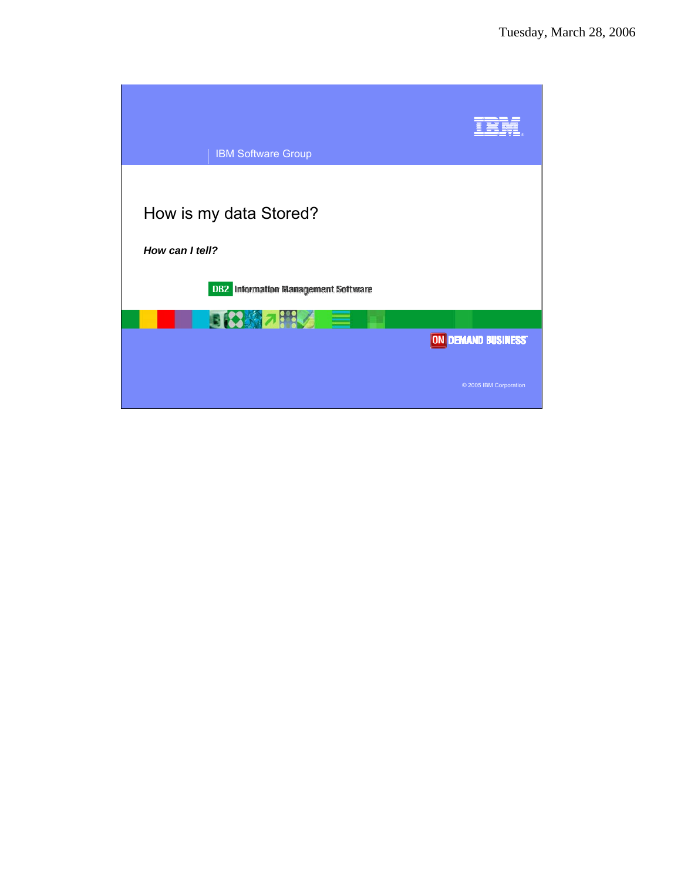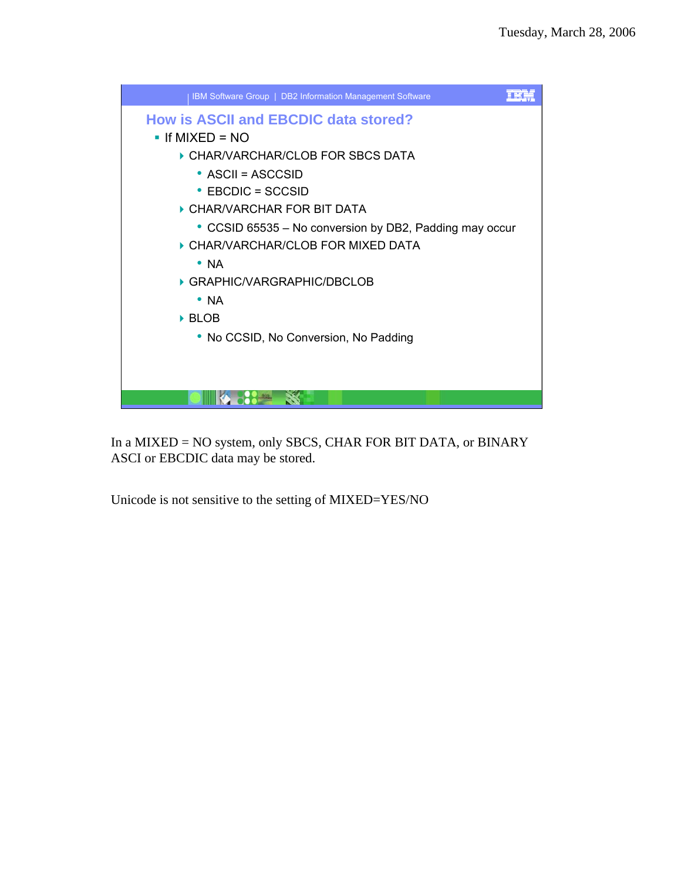

In a MIXED = NO system, only SBCS, CHAR FOR BIT DATA, or BINARY ASCI or EBCDIC data may be stored.

Unicode is not sensitive to the setting of MIXED=YES/NO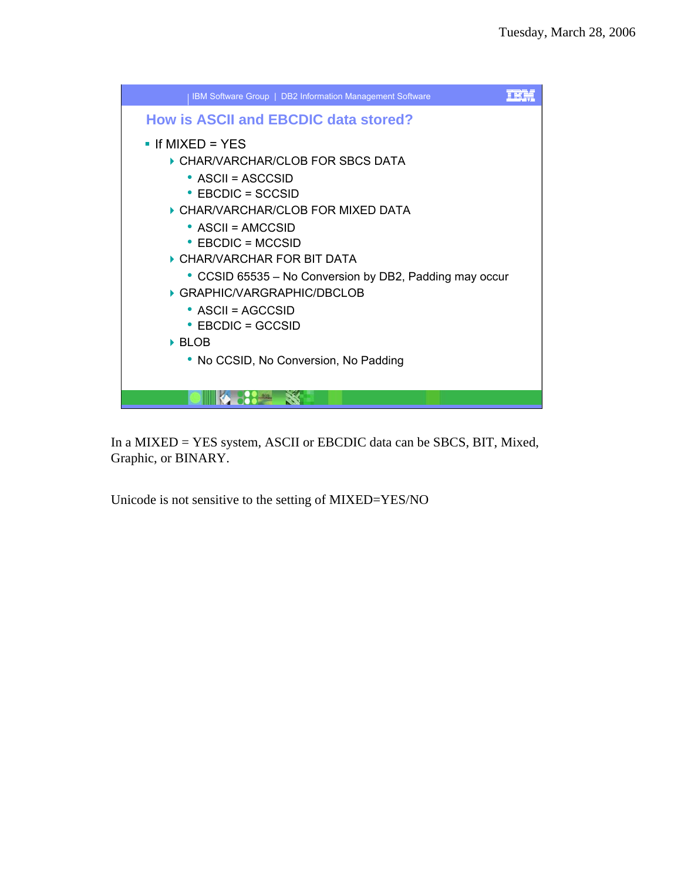

In a MIXED = YES system, ASCII or EBCDIC data can be SBCS, BIT, Mixed, Graphic, or BINARY.

Unicode is not sensitive to the setting of MIXED=YES/NO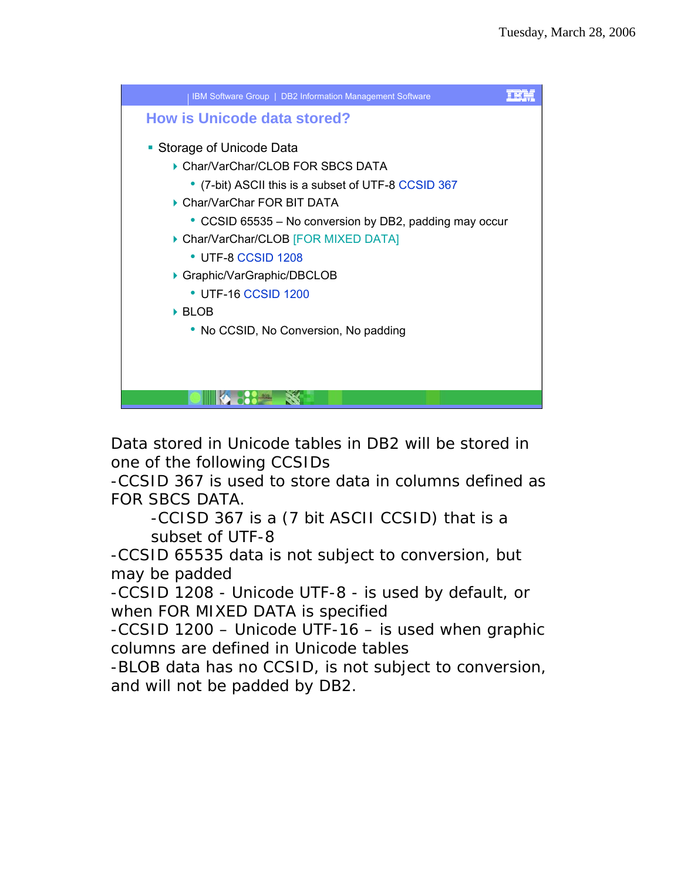

Data stored in Unicode tables in DB2 will be stored in one of the following CCSIDs

-CCSID 367 is used to store data in columns defined as FOR SBCS DATA.

-CCISD 367 is a (7 bit ASCII CCSID) that is a subset of UTF-8

-CCSID 65535 data is not subject to conversion, but may be padded

-CCSID 1208 - Unicode UTF-8 - is used by default, or when FOR MIXED DATA is specified

-CCSID 1200 – Unicode UTF-16 – is used when graphic columns are defined in Unicode tables

-BLOB data has no CCSID, is not subject to conversion, and will not be padded by DB2.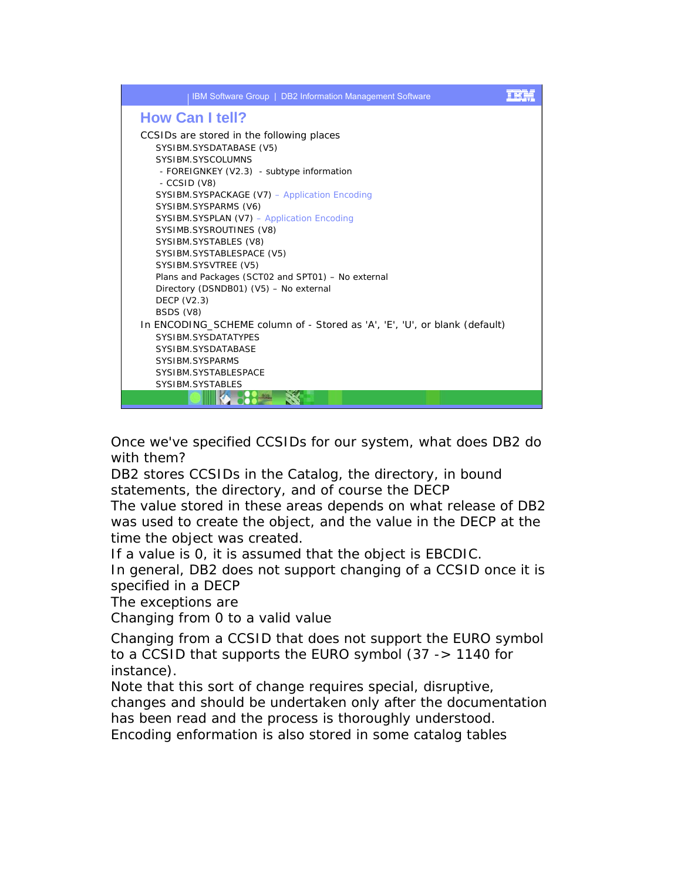

Once we've specified CCSIDs for our system, what does DB2 do with them?

DB2 stores CCSIDs in the Catalog, the directory, in bound statements, the directory, and of course the DECP

The value stored in these areas depends on what release of DB2 was used to create the object, and the value in the DECP at the time the object was created.

If a value is 0, it is assumed that the object is EBCDIC.

In general, DB2 does not support changing of a CCSID once it is specified in a DECP

The exceptions are

Changing from 0 to a valid value

Changing from a CCSID that does not support the EURO symbol to a CCSID that supports the EURO symbol (37 -> 1140 for instance).

Note that this sort of change requires special, disruptive,

changes and should be undertaken only after the documentation has been read and the process is thoroughly understood.

Encoding enformation is also stored in some catalog tables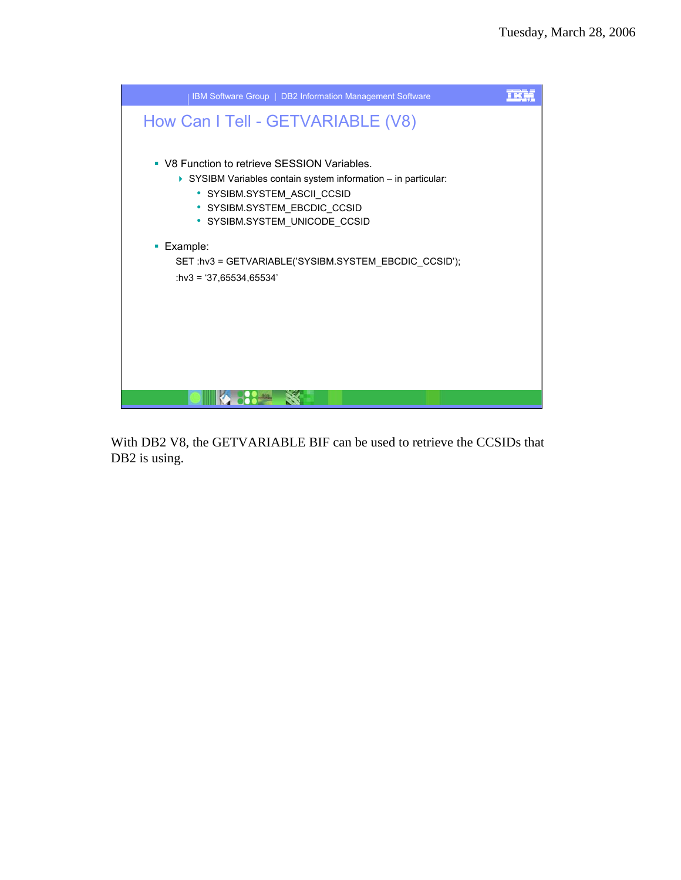

With DB2 V8, the GETVARIABLE BIF can be used to retrieve the CCSIDs that DB2 is using.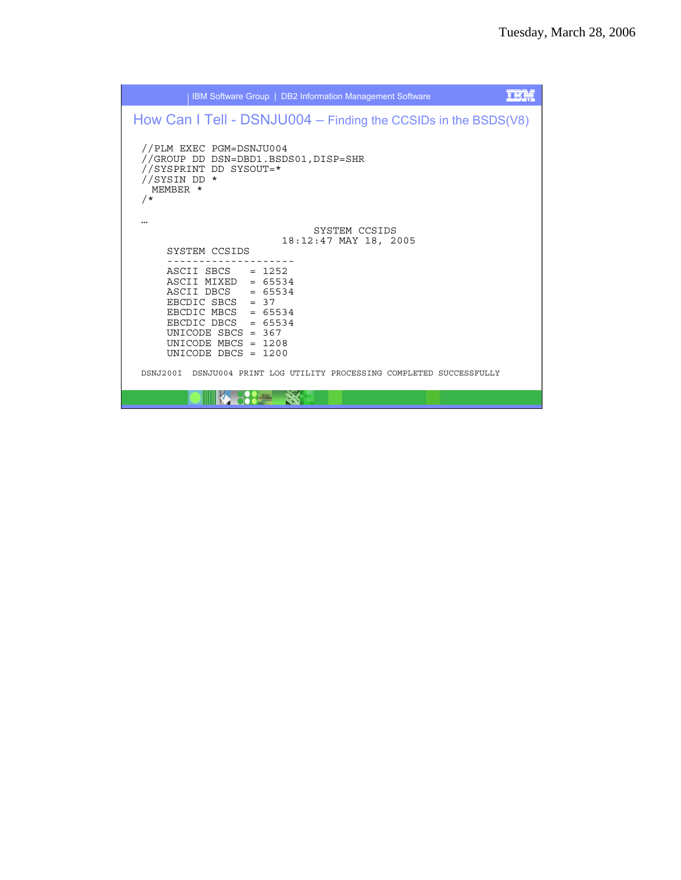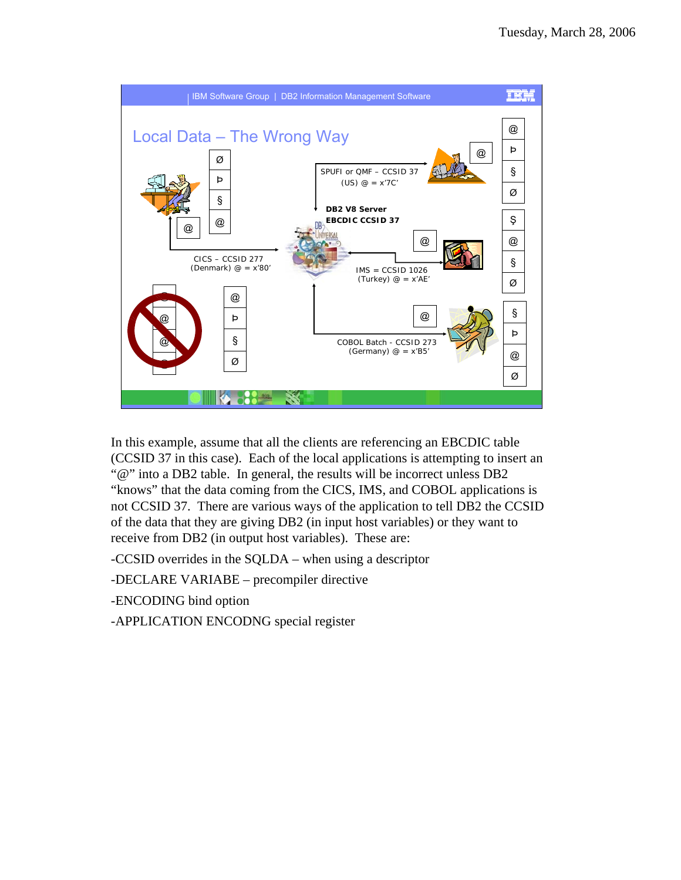

In this example, assume that all the clients are referencing an EBCDIC table (CCSID 37 in this case). Each of the local applications is attempting to insert an "@" into a DB2 table. In general, the results will be incorrect unless DB2 "knows" that the data coming from the CICS, IMS, and COBOL applications is not CCSID 37. There are various ways of the application to tell DB2 the CCSID of the data that they are giving DB2 (in input host variables) or they want to receive from DB2 (in output host variables). These are:

-CCSID overrides in the SQLDA – when using a descriptor

-DECLARE VARIABE – precompiler directive

-ENCODING bind option

-APPLICATION ENCODNG special register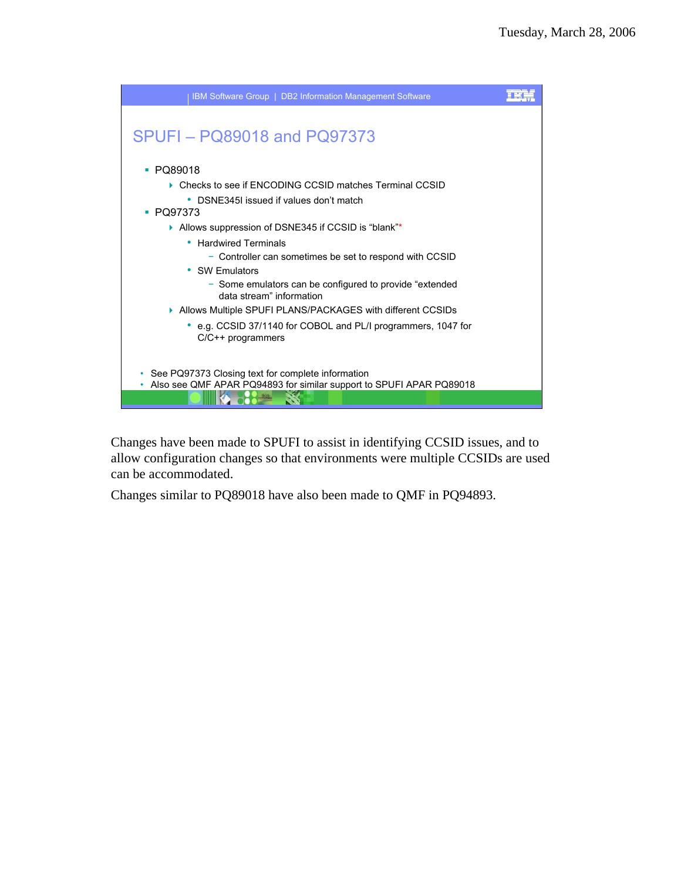

Changes have been made to SPUFI to assist in identifying CCSID issues, and to allow configuration changes so that environments were multiple CCSIDs are used can be accommodated.

Changes similar to PQ89018 have also been made to QMF in PQ94893.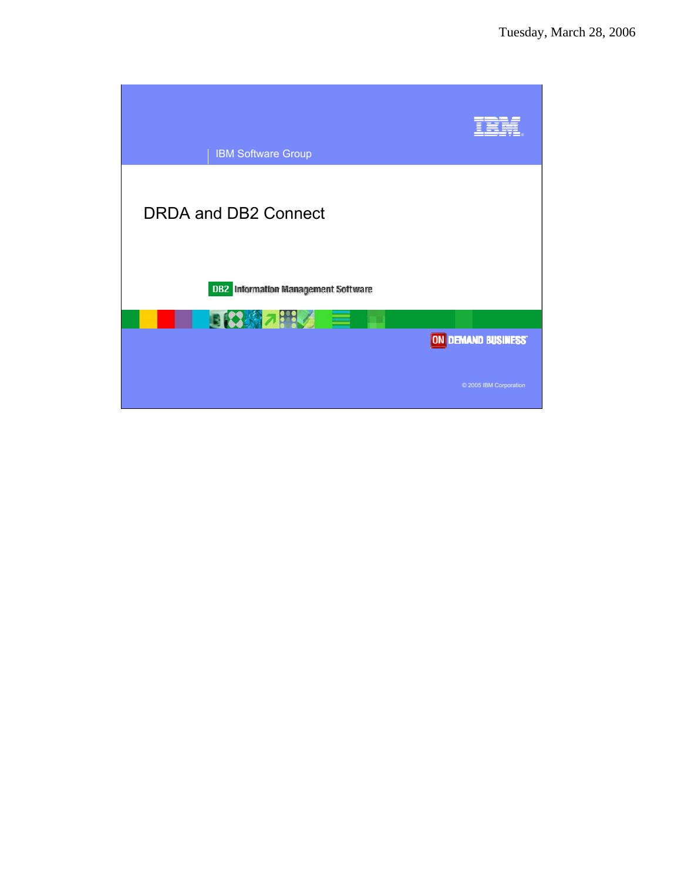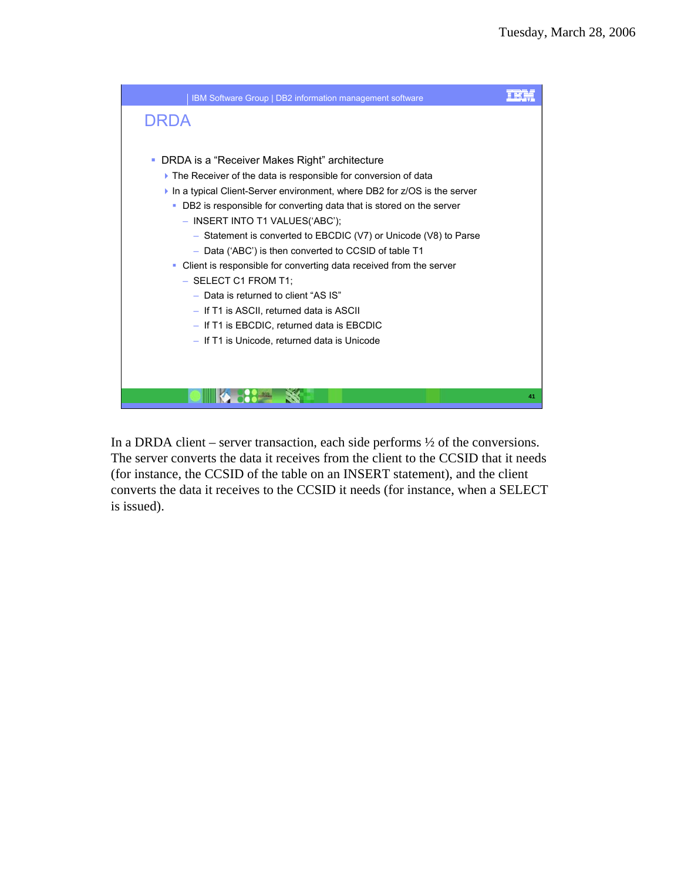

In a DRDA client – server transaction, each side performs  $\frac{1}{2}$  of the conversions. The server converts the data it receives from the client to the CCSID that it needs (for instance, the CCSID of the table on an INSERT statement), and the client converts the data it receives to the CCSID it needs (for instance, when a SELECT is issued).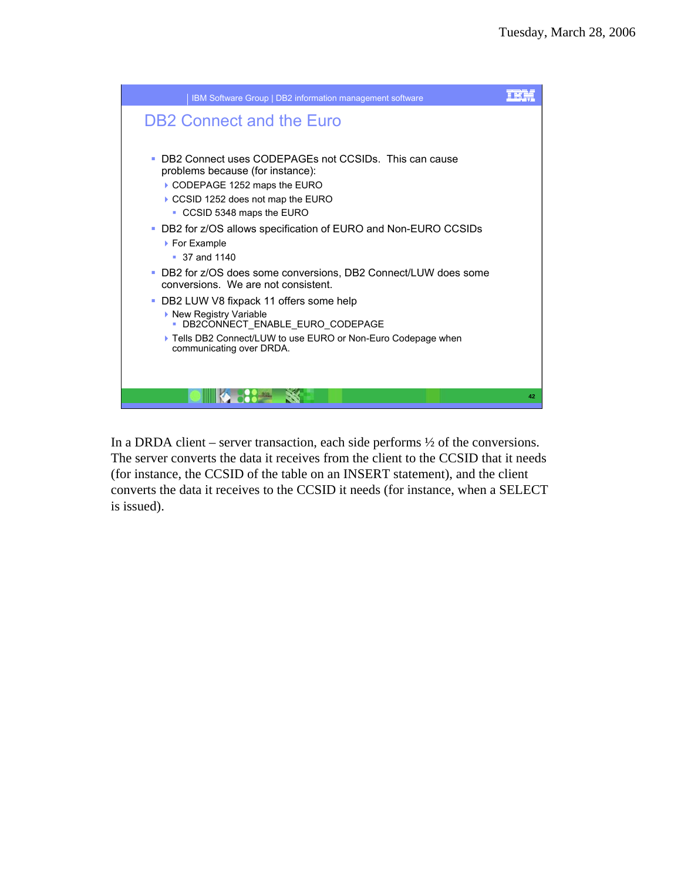

In a DRDA client – server transaction, each side performs  $\frac{1}{2}$  of the conversions. The server converts the data it receives from the client to the CCSID that it needs (for instance, the CCSID of the table on an INSERT statement), and the client converts the data it receives to the CCSID it needs (for instance, when a SELECT is issued).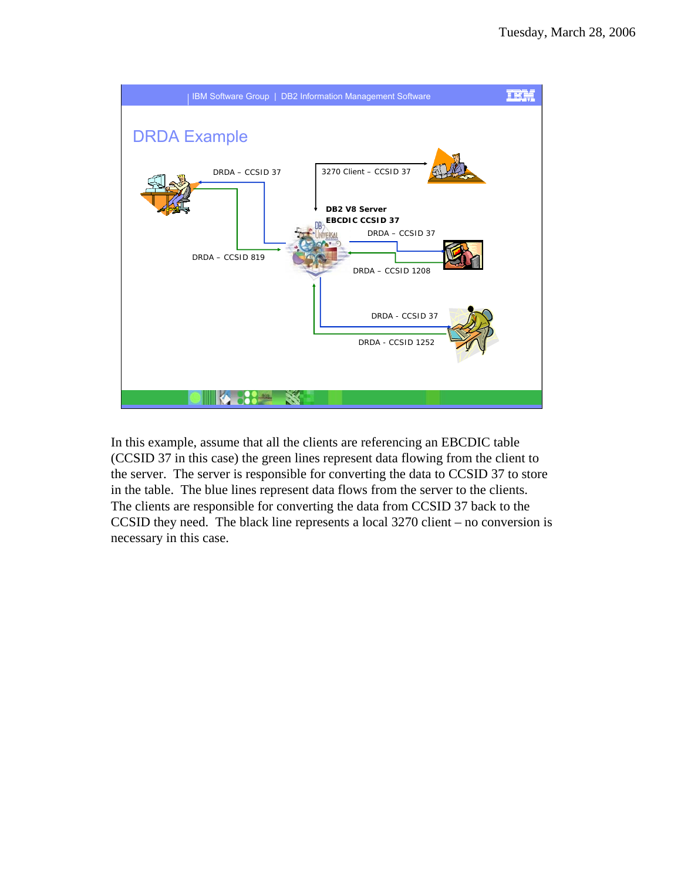

In this example, assume that all the clients are referencing an EBCDIC table (CCSID 37 in this case) the green lines represent data flowing from the client to the server. The server is responsible for converting the data to CCSID 37 to store in the table. The blue lines represent data flows from the server to the clients. The clients are responsible for converting the data from CCSID 37 back to the CCSID they need. The black line represents a local 3270 client – no conversion is necessary in this case.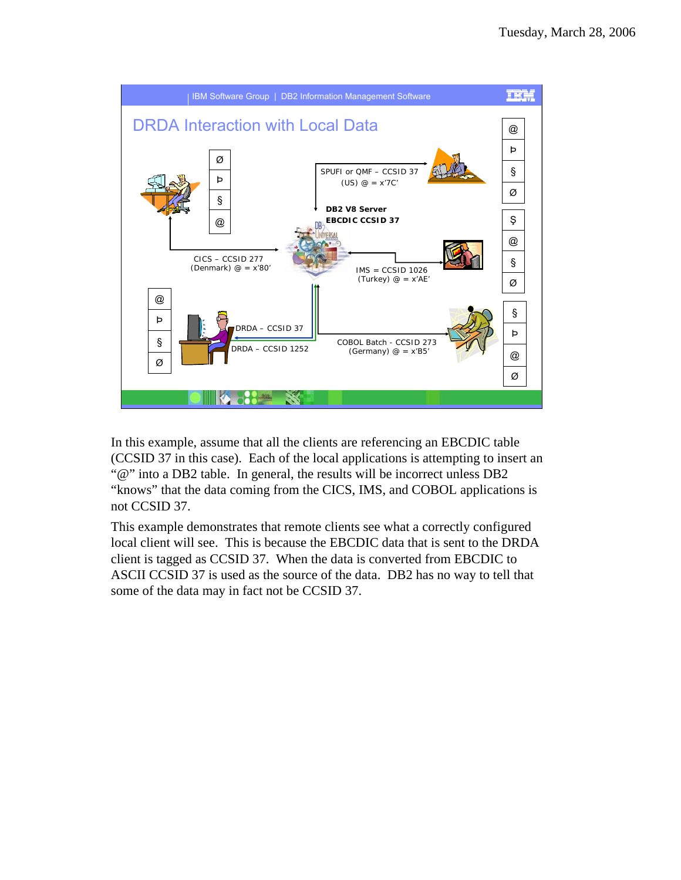

In this example, assume that all the clients are referencing an EBCDIC table (CCSID 37 in this case). Each of the local applications is attempting to insert an "@" into a DB2 table. In general, the results will be incorrect unless DB2 "knows" that the data coming from the CICS, IMS, and COBOL applications is not CCSID 37.

This example demonstrates that remote clients see what a correctly configured local client will see. This is because the EBCDIC data that is sent to the DRDA client is tagged as CCSID 37. When the data is converted from EBCDIC to ASCII CCSID 37 is used as the source of the data. DB2 has no way to tell that some of the data may in fact not be CCSID 37.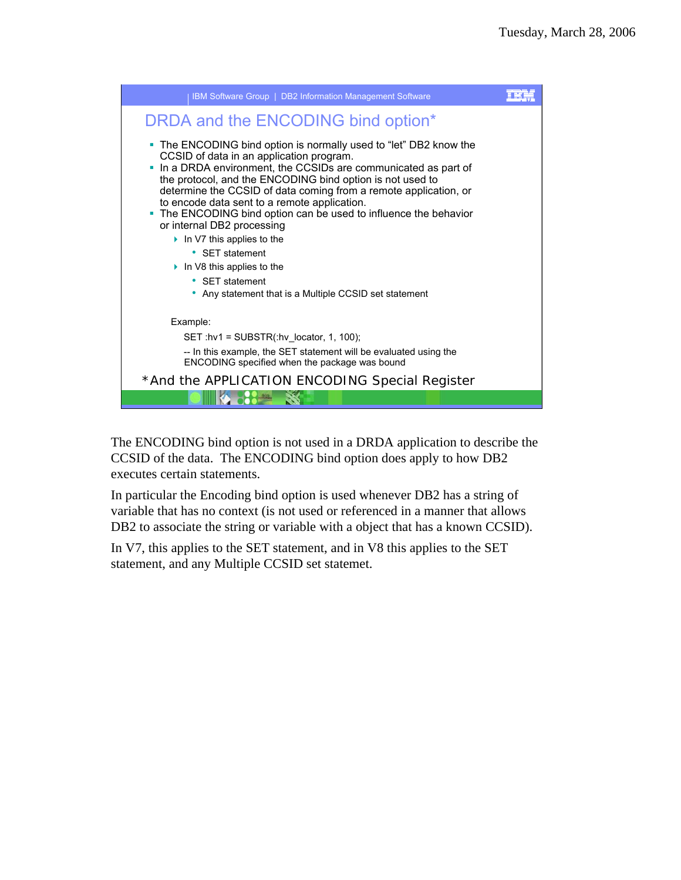

The ENCODING bind option is not used in a DRDA application to describe the CCSID of the data. The ENCODING bind option does apply to how DB2 executes certain statements.

In particular the Encoding bind option is used whenever DB2 has a string of variable that has no context (is not used or referenced in a manner that allows DB2 to associate the string or variable with a object that has a known CCSID).

In V7, this applies to the SET statement, and in V8 this applies to the SET statement, and any Multiple CCSID set statemet.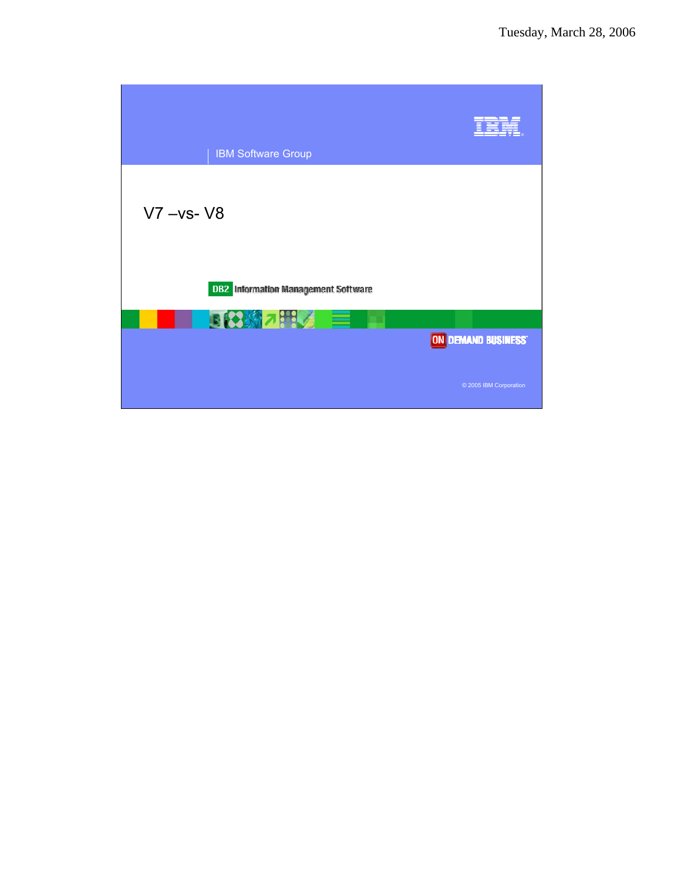| <b>IBM Software Group</b>                  |                        |
|--------------------------------------------|------------------------|
| $V7 - vs - V8$                             |                        |
| <b>DB2</b> Information Management Software |                        |
| 日3 約 2 時 2 目                               | ON DEMAND BUSINESS     |
|                                            | © 2005 IBM Corporation |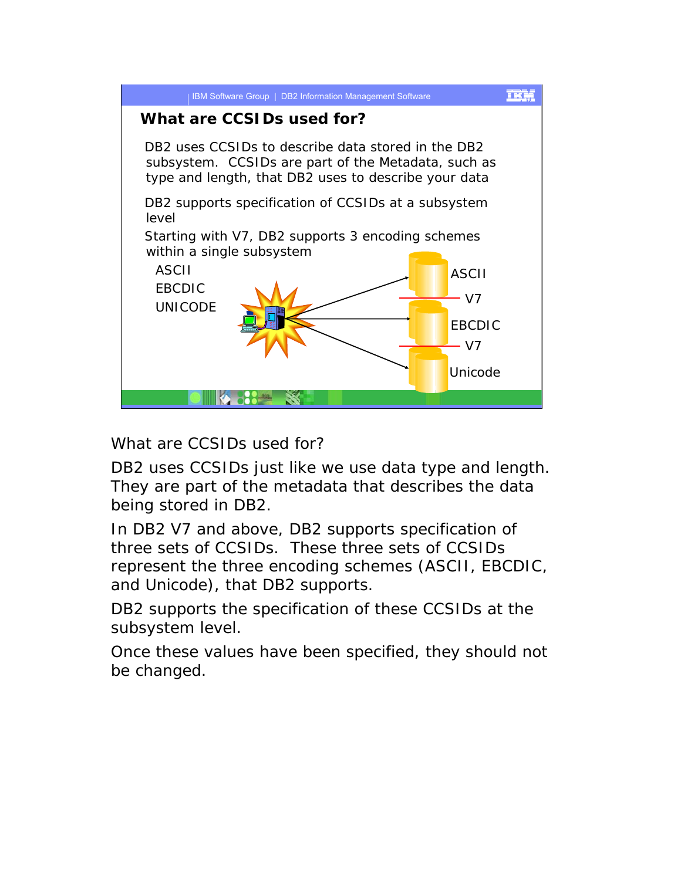

What are CCSIDs used for?

DB2 uses CCSIDs just like we use data type and length. They are part of the metadata that describes the data being stored in DB2.

In DB2 V7 and above, DB2 supports specification of three sets of CCSIDs. These three sets of CCSIDs represent the three encoding schemes (ASCII, EBCDIC, and Unicode), that DB2 supports.

DB2 supports the specification of these CCSIDs at the subsystem level.

Once these values have been specified, they should not be changed.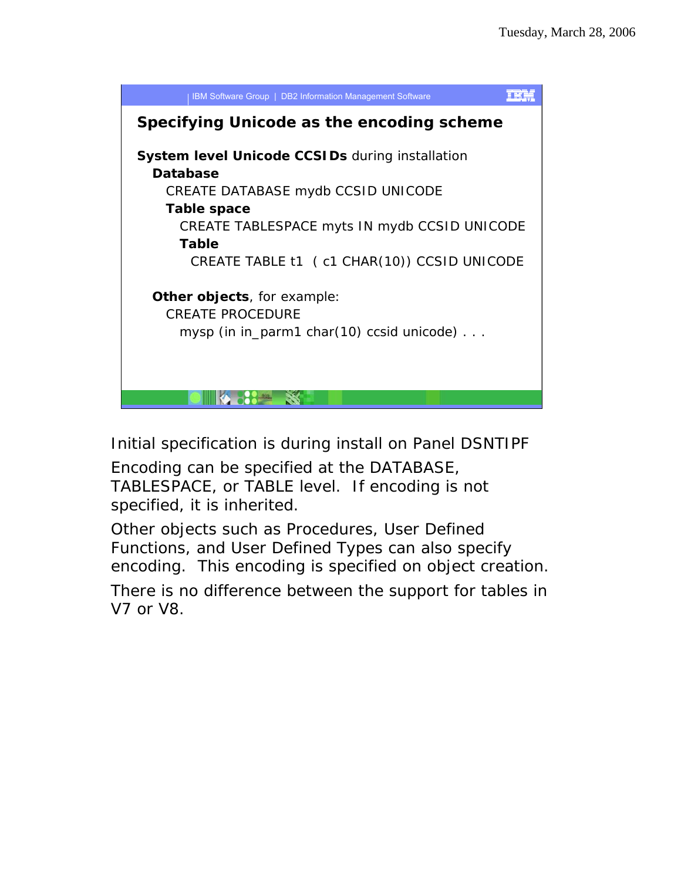

Initial specification is during install on Panel DSNTIPF

Encoding can be specified at the DATABASE, TABLESPACE, or TABLE level. If encoding is not specified, it is inherited.

Other objects such as Procedures, User Defined Functions, and User Defined Types can also specify encoding. This encoding is specified on object creation.

There is no difference between the support for tables in V7 or V8.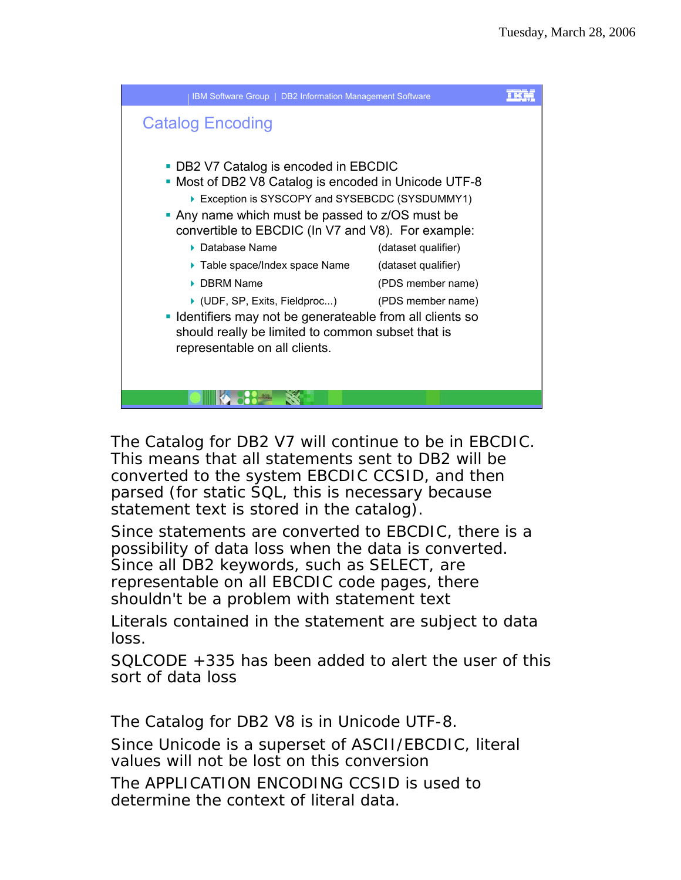

The Catalog for DB2 V7 will continue to be in EBCDIC. This means that all statements sent to DB2 will be converted to the system EBCDIC CCSID, and then parsed (for static SQL, this is necessary because statement text is stored in the catalog).

Since statements are converted to EBCDIC, there is a possibility of data loss when the data is converted. Since all DB2 keywords, such as SELECT, are representable on all EBCDIC code pages, there shouldn't be a problem with statement text

Literals contained in the statement are subject to data loss.

SQLCODE +335 has been added to alert the user of this sort of data loss

The Catalog for DB2 V8 is in Unicode UTF-8.

Since Unicode is a superset of ASCII/EBCDIC, literal values will not be lost on this conversion

The APPLICATION ENCODING CCSID is used to determine the context of literal data.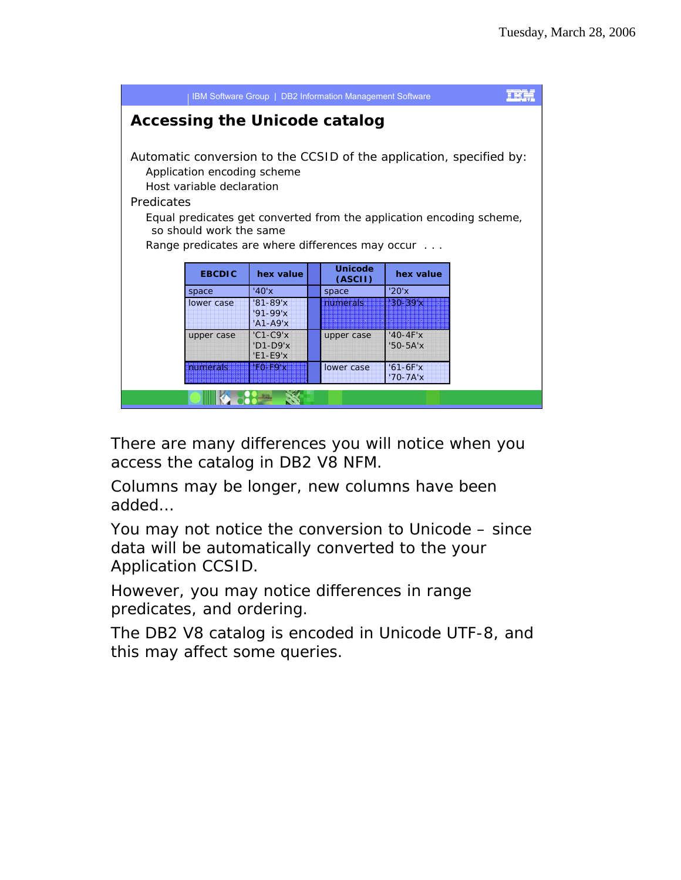| IBM Software Group   DB2 Information Management Software                                                                                                                                                                                                                                             |               |                                          |  |                           |                            |  |  |
|------------------------------------------------------------------------------------------------------------------------------------------------------------------------------------------------------------------------------------------------------------------------------------------------------|---------------|------------------------------------------|--|---------------------------|----------------------------|--|--|
| <b>Accessing the Unicode catalog</b>                                                                                                                                                                                                                                                                 |               |                                          |  |                           |                            |  |  |
| Automatic conversion to the CCSID of the application, specified by:<br>Application encoding scheme<br>Host variable declaration<br>Predicates<br>Equal predicates get converted from the application encoding scheme,<br>so should work the same<br>Range predicates are where differences may occur |               |                                          |  |                           |                            |  |  |
|                                                                                                                                                                                                                                                                                                      | <b>EBCDIC</b> | hex value                                |  | <b>Unicode</b><br>(ASCII) | hex value                  |  |  |
|                                                                                                                                                                                                                                                                                                      | space         | '40'x                                    |  | space                     | '20'x                      |  |  |
|                                                                                                                                                                                                                                                                                                      | lower case    | $'81 - 89'x$<br>$'91-99'x$<br>$'A1-A9'x$ |  | numerals                  | $130 - 39'x$               |  |  |
|                                                                                                                                                                                                                                                                                                      | upper case    | $'C1-C9'x$<br>$'D1-D9'x$<br>$'E1-E9'x$   |  | upper case                | $'40-4F'x$<br>$50 - 5A'x$  |  |  |
|                                                                                                                                                                                                                                                                                                      | numerals      | $F0-F9x$                                 |  | lower case                | $'61-6F'x$<br>$'70 - 7A'x$ |  |  |
|                                                                                                                                                                                                                                                                                                      |               |                                          |  |                           |                            |  |  |

There are many differences you will notice when you access the catalog in DB2 V8 NFM.

Columns may be longer, new columns have been added…

You may not notice the conversion to Unicode – since data will be automatically converted to the your Application CCSID.

However, you may notice differences in range predicates, and ordering.

The DB2 V8 catalog is encoded in Unicode UTF-8, and this may affect some queries.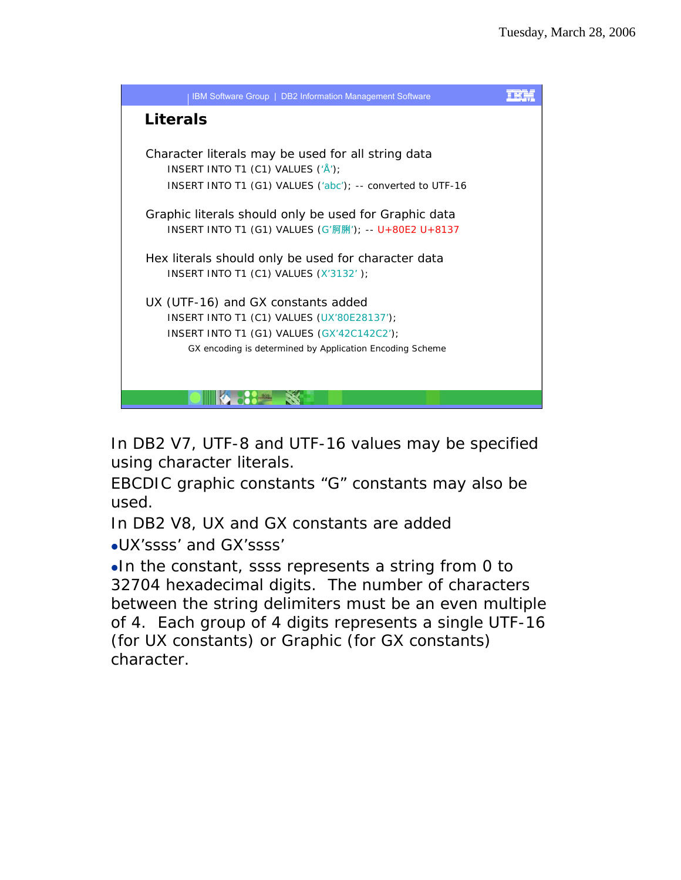

In DB2 V7, UTF-8 and UTF-16 values may be specified using character literals.

EBCDIC graphic constants "G" constants may also be used.

In DB2 V8, UX and GX constants are added

<sup>z</sup>UX'ssss' and GX'ssss'

 $\bullet$ In the constant, ssss represents a string from 0 to 32704 hexadecimal digits. The number of characters between the string delimiters must be an even multiple of 4. Each group of 4 digits represents a single UTF-16 (for UX constants) or Graphic (for GX constants) character.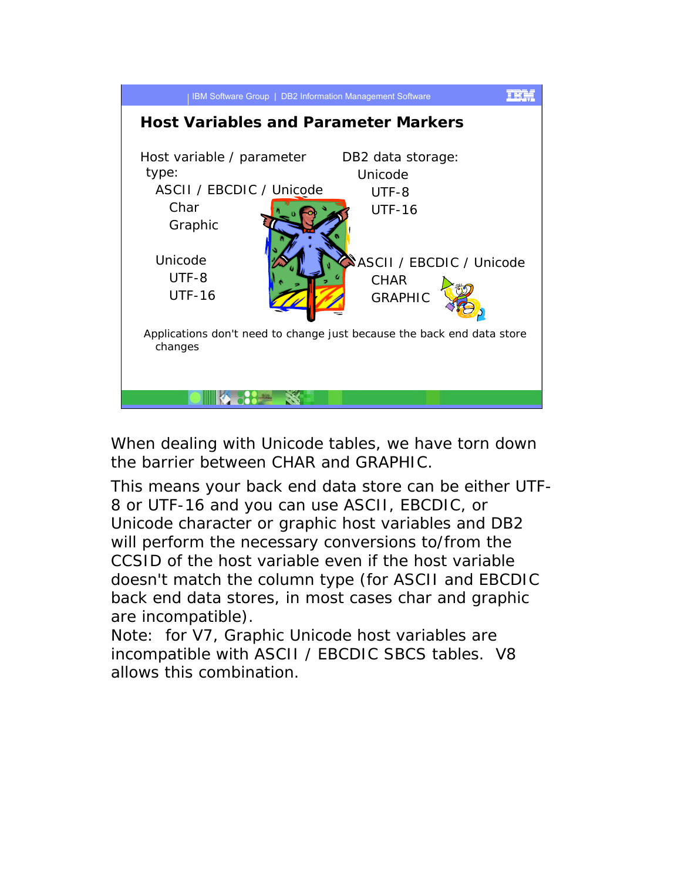

When dealing with Unicode tables, we have torn down the barrier between CHAR and GRAPHIC.

This means your back end data store can be either UTF-8 or UTF-16 and you can use ASCII, EBCDIC, or Unicode character or graphic host variables and DB2 will perform the necessary conversions to/from the CCSID of the host variable even if the host variable doesn't match the column type (for ASCII and EBCDIC back end data stores, in most cases char and graphic are incompatible).

Note: for V7, Graphic Unicode host variables are incompatible with ASCII / EBCDIC SBCS tables. V8 allows this combination.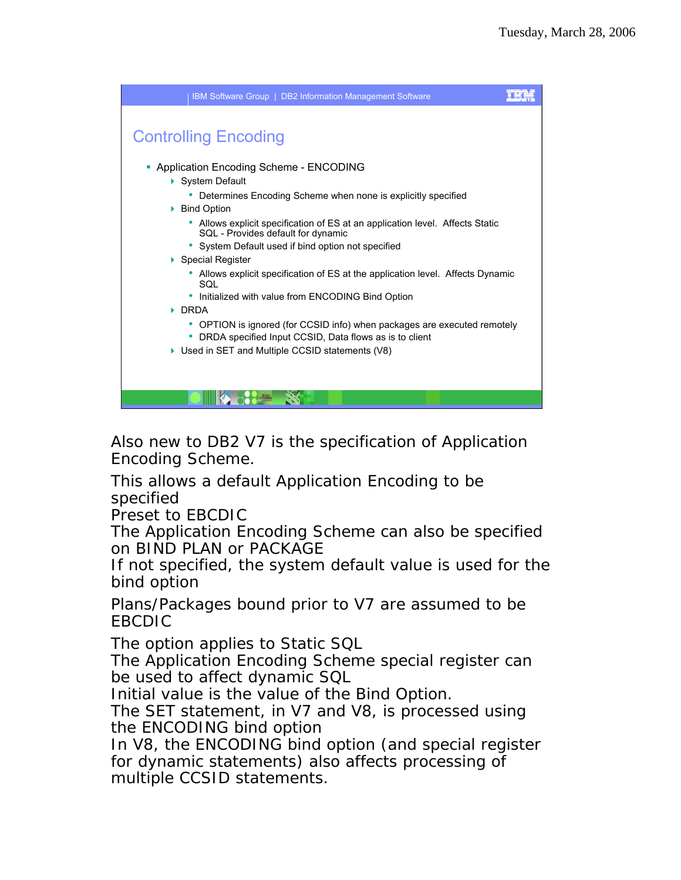

Also new to DB2 V7 is the specification of Application Encoding Scheme.

This allows a default Application Encoding to be specified

Preset to EBCDIC

The Application Encoding Scheme can also be specified on BIND PLAN or PACKAGE

If not specified, the system default value is used for the bind option

Plans/Packages bound prior to V7 are assumed to be EBCDIC

The option applies to Static SQL

The Application Encoding Scheme special register can be used to affect dynamic SQL

Initial value is the value of the Bind Option.

The SET statement, in V7 and V8, is processed using the ENCODING bind option

In V8, the ENCODING bind option (and special register for dynamic statements) also affects processing of multiple CCSID statements.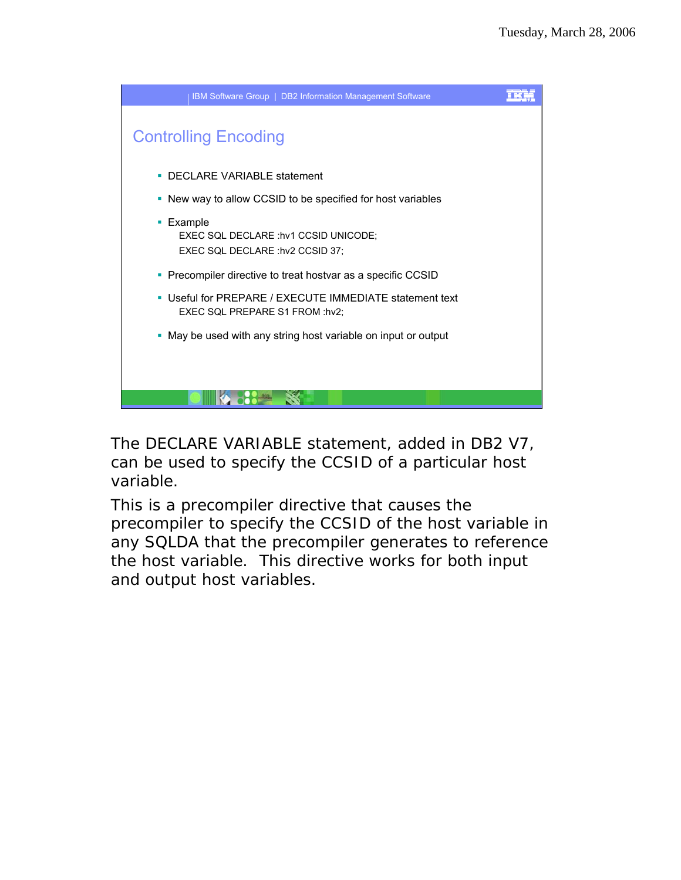

The DECLARE VARIABLE statement, added in DB2 V7, can be used to specify the CCSID of a particular host variable.

This is a precompiler directive that causes the precompiler to specify the CCSID of the host variable in any SQLDA that the precompiler generates to reference the host variable. This directive works for both input and output host variables.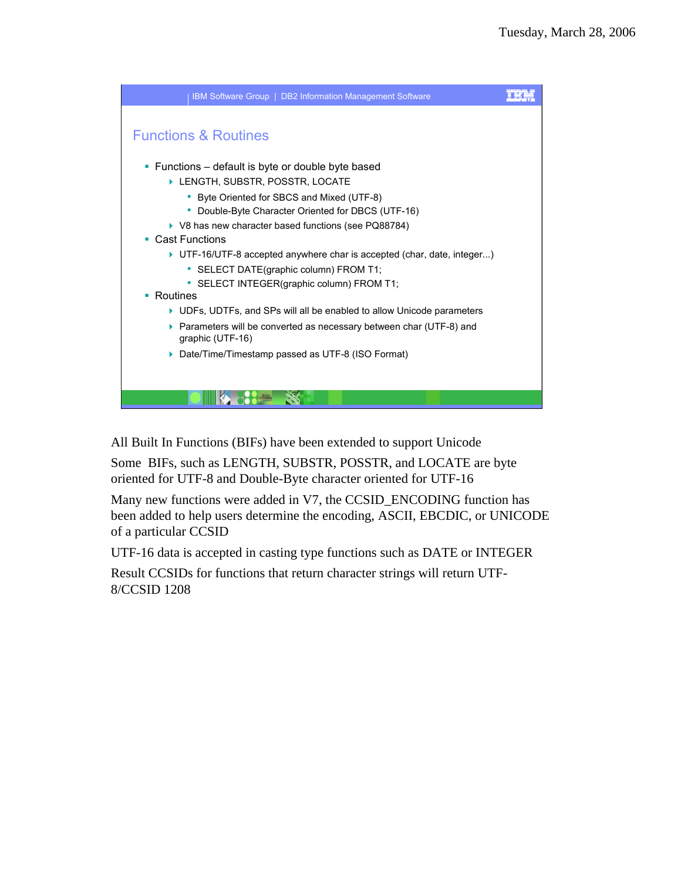

All Built In Functions (BIFs) have been extended to support Unicode

Some BIFs, such as LENGTH, SUBSTR, POSSTR, and LOCATE are byte oriented for UTF-8 and Double-Byte character oriented for UTF-16

Many new functions were added in V7, the CCSID\_ENCODING function has been added to help users determine the encoding, ASCII, EBCDIC, or UNICODE of a particular CCSID

UTF-16 data is accepted in casting type functions such as DATE or INTEGER

Result CCSIDs for functions that return character strings will return UTF-8/CCSID 1208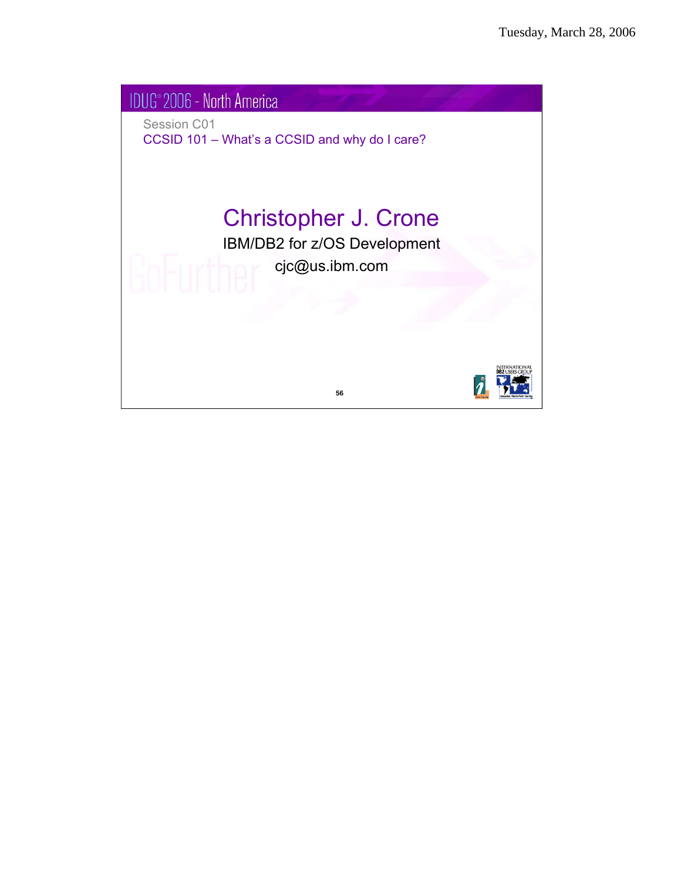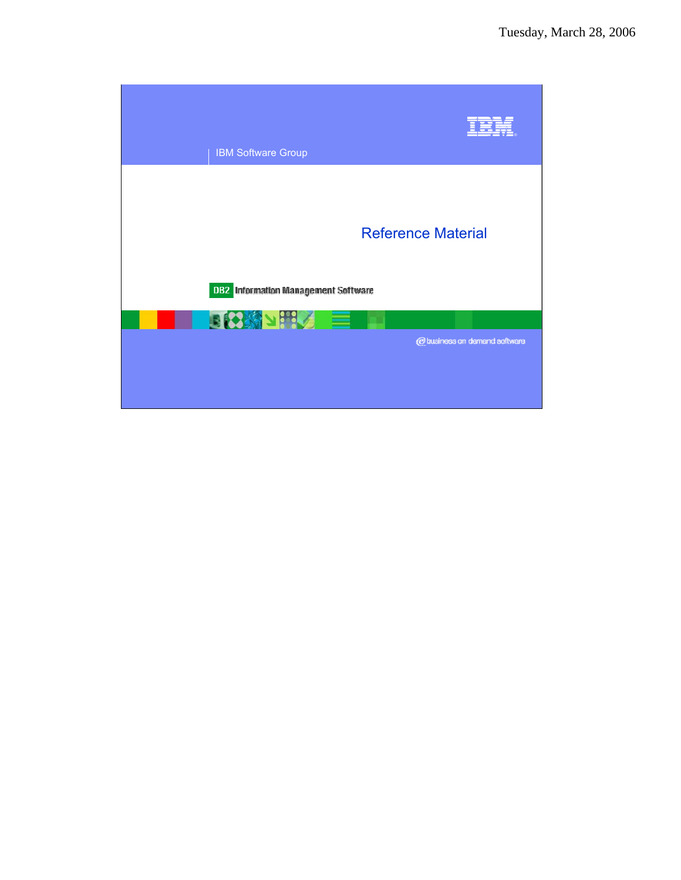| <b>IBM Software Group</b>                              |                               |  |
|--------------------------------------------------------|-------------------------------|--|
| <b>Reference Material</b>                              |                               |  |
| DB2. Information Management Software<br><b>日8科内部公司</b> |                               |  |
|                                                        | @ business on demand software |  |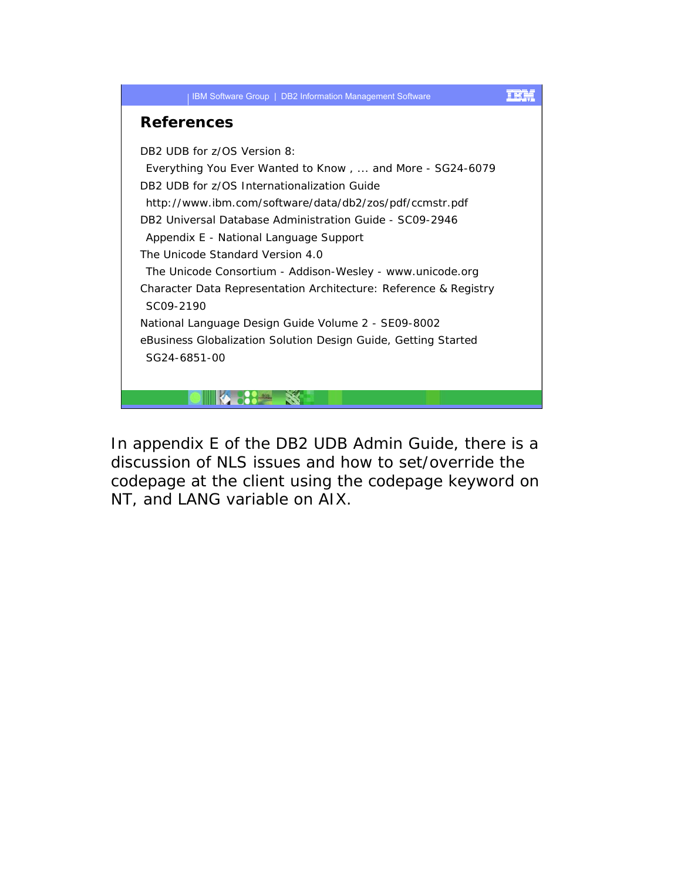

In appendix E of the DB2 UDB Admin Guide, there is a discussion of NLS issues and how to set/override the codepage at the client using the codepage keyword on NT, and LANG variable on AIX.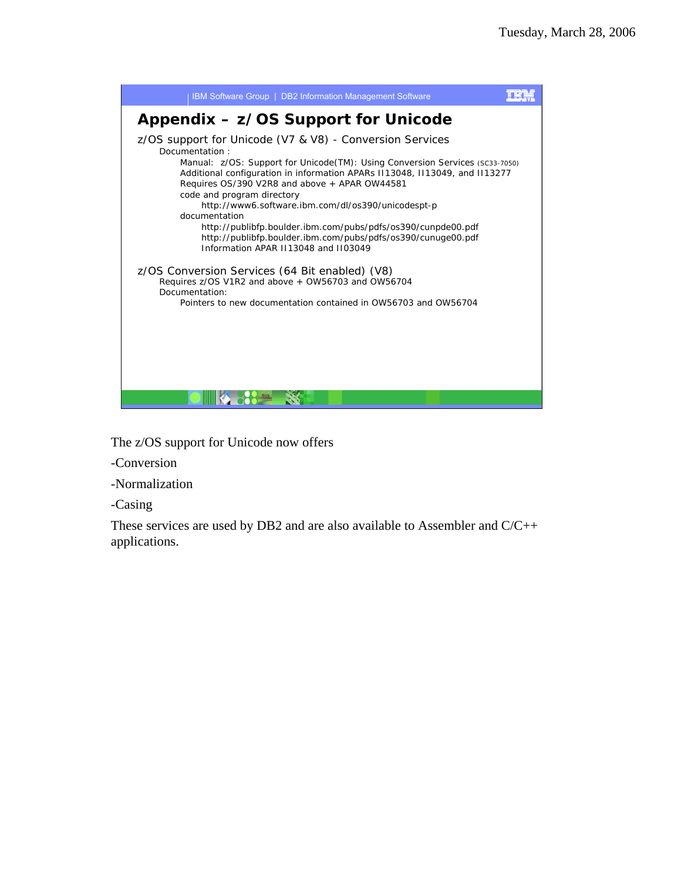

The z/OS support for Unicode now offers

-Conversion

-Normalization

-Casing

These services are used by DB2 and are also available to Assembler and C/C++ applications.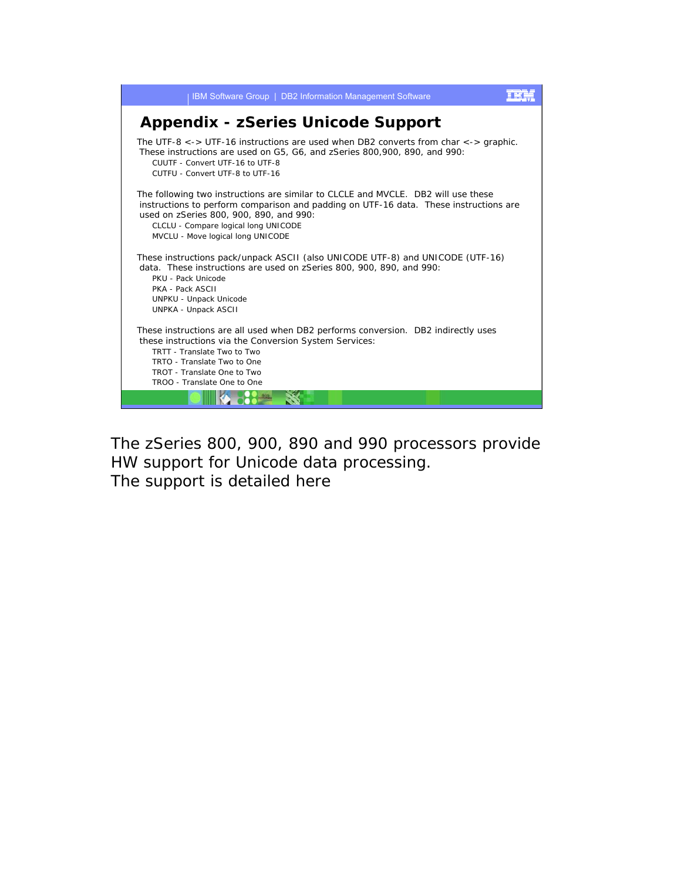

The zSeries 800, 900, 890 and 990 processors provide HW support for Unicode data processing. The support is detailed here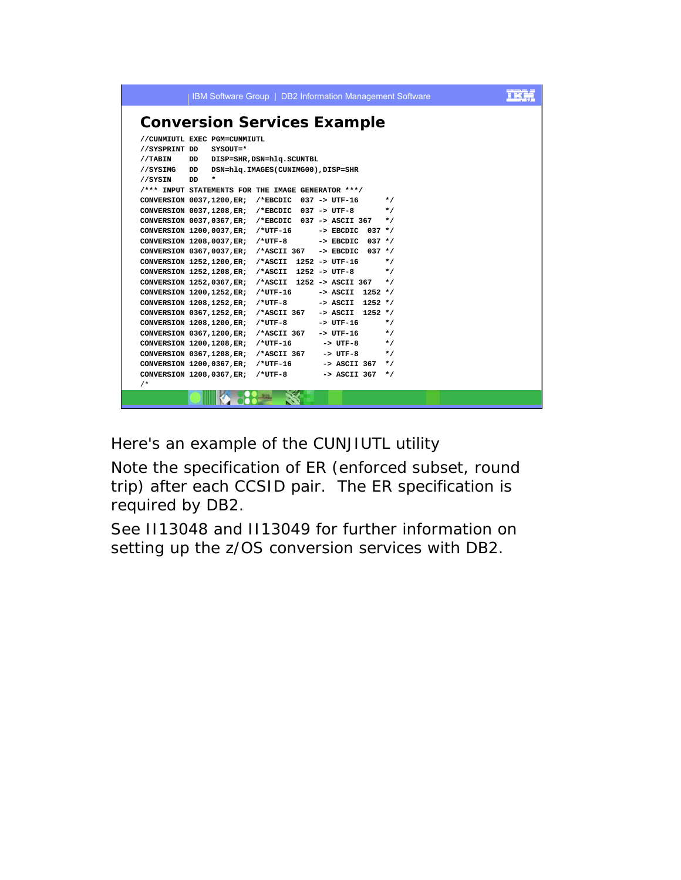| IBM Software Group   DB2 Information Management Software                                                                        |  |  |  |  |  |  |  |
|---------------------------------------------------------------------------------------------------------------------------------|--|--|--|--|--|--|--|
| <b>Conversion Services Example</b>                                                                                              |  |  |  |  |  |  |  |
| //CUNMIUTL EXEC PGM=CUNMIUTL                                                                                                    |  |  |  |  |  |  |  |
| //SYSPRINT DD<br>$SYSOUT = *$                                                                                                   |  |  |  |  |  |  |  |
| DD DISP=SHR, DSN=hlq.SCUNTBL<br>//TABIN                                                                                         |  |  |  |  |  |  |  |
| DSN=hlq.IMAGES(CUNIMG00),DISP=SHR<br>//SYSIMG<br>DD                                                                             |  |  |  |  |  |  |  |
| DD<br>$\ast$<br>//SYSIN                                                                                                         |  |  |  |  |  |  |  |
| /*** INPUT STATEMENTS FOR THE IMAGE GENERATOR ***/                                                                              |  |  |  |  |  |  |  |
| CONVERSION $0037,1200$ , ER; /*EBCDIC 037 -> UTF-16<br>$\star$ /                                                                |  |  |  |  |  |  |  |
| CONVERSION $0037,1208$ , ER; /*EBCDIC 037 -> UTF-8 */                                                                           |  |  |  |  |  |  |  |
| CONVERSION 0037,0367, ER; /*EBCDIC 037 -> ASCII 367 */                                                                          |  |  |  |  |  |  |  |
| CONVERSION 1200,0037, ER; /*UTF-16 -> EBCDIC 037 */                                                                             |  |  |  |  |  |  |  |
| CONVERSION 1208,0037, ER; /*UTF-8 -> EBCDIC 037 */                                                                              |  |  |  |  |  |  |  |
| CONVERSION 0367,0037, ER; /*ASCII 367 -> EBCDIC 037 */                                                                          |  |  |  |  |  |  |  |
| CONVERSION 1252,1200, ER; /*ASCII 1252 -> UTF-16<br>$*$ /                                                                       |  |  |  |  |  |  |  |
| CONVERSION 1252, 1208, ER; /*ASCII 1252 -> UTF-8<br>$\star$ /                                                                   |  |  |  |  |  |  |  |
| CONVERSION 1252,0367, ER; /*ASCII 1252 -> ASCII 367 */                                                                          |  |  |  |  |  |  |  |
| CONVERSION 1200,1252, ER; /*UTF-16<br>$\rightarrow$ ASCII 1252 */                                                               |  |  |  |  |  |  |  |
| CONVERSION 1208, 1252, ER; /*UTF-8 -> ASCII 1252 */                                                                             |  |  |  |  |  |  |  |
| CONVERSION 0367,1252, ER; /*ASCII 367<br>-> ASCII 1252 */<br>$*$ /<br>CONVERSION 1208, 1200, ER; /*UTF-8<br>$\text{-}$ > UTF-16 |  |  |  |  |  |  |  |
| CONVERSION 0367,1200, ER; /*ASCII 367 -> UTF-16 */                                                                              |  |  |  |  |  |  |  |
| CONVERSION 1200, 1208, ER; /*UTF-16 -> UTF-8 */                                                                                 |  |  |  |  |  |  |  |
| CONVERSION 0367,1208, ER; /*ASCII 367 -> UTF-8<br>$\star$ /                                                                     |  |  |  |  |  |  |  |
| CONVERSION 1200,0367, ER; /*UTF-16 -> ASCII 367 */                                                                              |  |  |  |  |  |  |  |
| CONVERSION 1208,0367, ER; /*UTF-8 -> ASCII 367 */                                                                               |  |  |  |  |  |  |  |
| $/$ *                                                                                                                           |  |  |  |  |  |  |  |
|                                                                                                                                 |  |  |  |  |  |  |  |

Here's an example of the CUNJIUTL utility

Note the specification of ER (enforced subset, round trip) after each CCSID pair. The ER specification is required by DB2.

See II13048 and II13049 for further information on setting up the z/OS conversion services with DB2.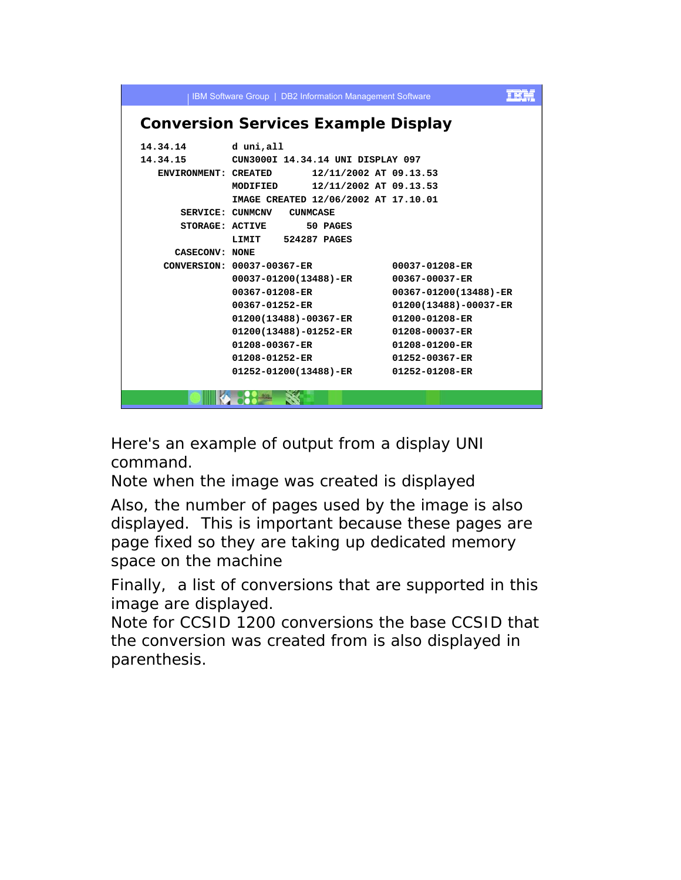|                                            | IBM Software Group   DB2 Information Management Software |                       |  |  |  |  |  |
|--------------------------------------------|----------------------------------------------------------|-----------------------|--|--|--|--|--|
| <b>Conversion Services Example Display</b> |                                                          |                       |  |  |  |  |  |
| 14.34.14                                   | d uni,all                                                |                       |  |  |  |  |  |
| 14.34.15                                   | CUN3000I 14.34.14 UNI DISPLAY 097                        |                       |  |  |  |  |  |
| ENVIRONMENT: CREATED                       | 12/11/2002 AT 09.13.53                                   |                       |  |  |  |  |  |
|                                            | 12/11/2002 AT 09.13.53<br><b>MODIFIED</b>                |                       |  |  |  |  |  |
|                                            | IMAGE CREATED 12/06/2002 AT 17.10.01                     |                       |  |  |  |  |  |
|                                            | SERVICE: CUNMCNV<br><b>CUNMCASE</b>                      |                       |  |  |  |  |  |
|                                            | STORAGE: ACTIVE<br>50 PAGES                              |                       |  |  |  |  |  |
|                                            | LIMIT 524287 PAGES                                       |                       |  |  |  |  |  |
| CASECONV: NONE                             |                                                          |                       |  |  |  |  |  |
|                                            | CONVERSION: 00037-00367-ER                               | 00037-01208-ER        |  |  |  |  |  |
|                                            | 00037-01200(13488)-ER                                    | 00367-00037-ER        |  |  |  |  |  |
|                                            | 00367-01208-ER                                           | 00367-01200(13488)-ER |  |  |  |  |  |
|                                            | 00367-01252-ER                                           | 01200(13488)-00037-ER |  |  |  |  |  |
|                                            | 01200(13488)-00367-ER                                    | 01200-01208-ER        |  |  |  |  |  |
|                                            | 01200(13488)-01252-ER                                    | 01208-00037-ER        |  |  |  |  |  |
|                                            | 01208-00367-ER                                           | 01208-01200-ER        |  |  |  |  |  |
|                                            | 01208-01252-ER                                           | 01252-00367-ER        |  |  |  |  |  |
|                                            | 01252-01200(13488)-ER                                    | 01252-01208-ER        |  |  |  |  |  |
|                                            |                                                          |                       |  |  |  |  |  |
|                                            |                                                          |                       |  |  |  |  |  |

Here's an example of output from a display UNI command.

Note when the image was created is displayed

Also, the number of pages used by the image is also displayed. This is important because these pages are page fixed so they are taking up dedicated memory space on the machine

Finally, a list of conversions that are supported in this image are displayed.

Note for CCSID 1200 conversions the base CCSID that the conversion was created from is also displayed in parenthesis.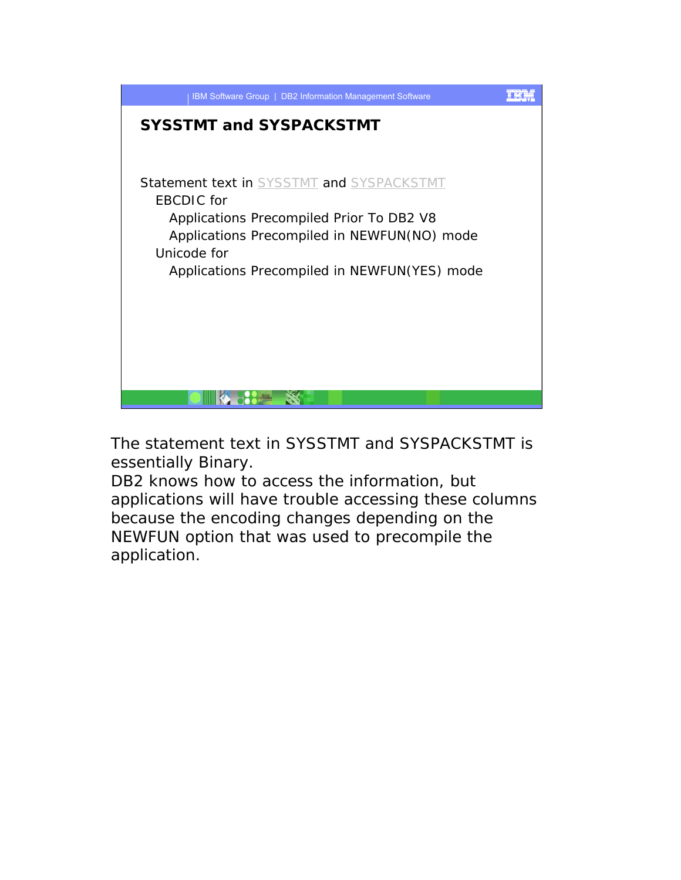

The statement text in SYSSTMT and SYSPACKSTMT is essentially Binary.

DB2 knows how to access the information, but applications will have trouble accessing these columns because the encoding changes depending on the NEWFUN option that was used to precompile the application.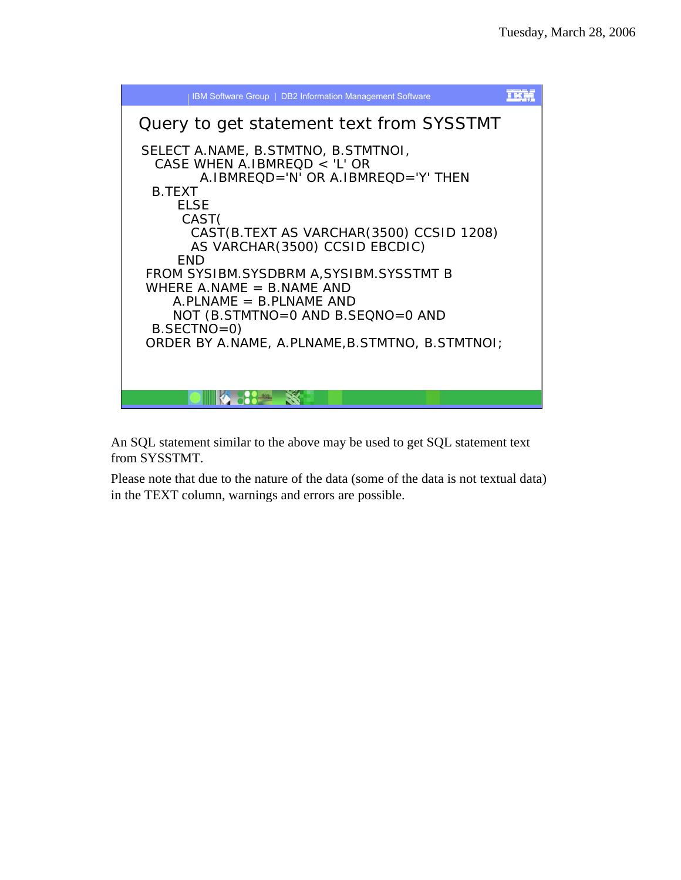

An SQL statement similar to the above may be used to get SQL statement text from SYSSTMT.

Please note that due to the nature of the data (some of the data is not textual data) in the TEXT column, warnings and errors are possible.